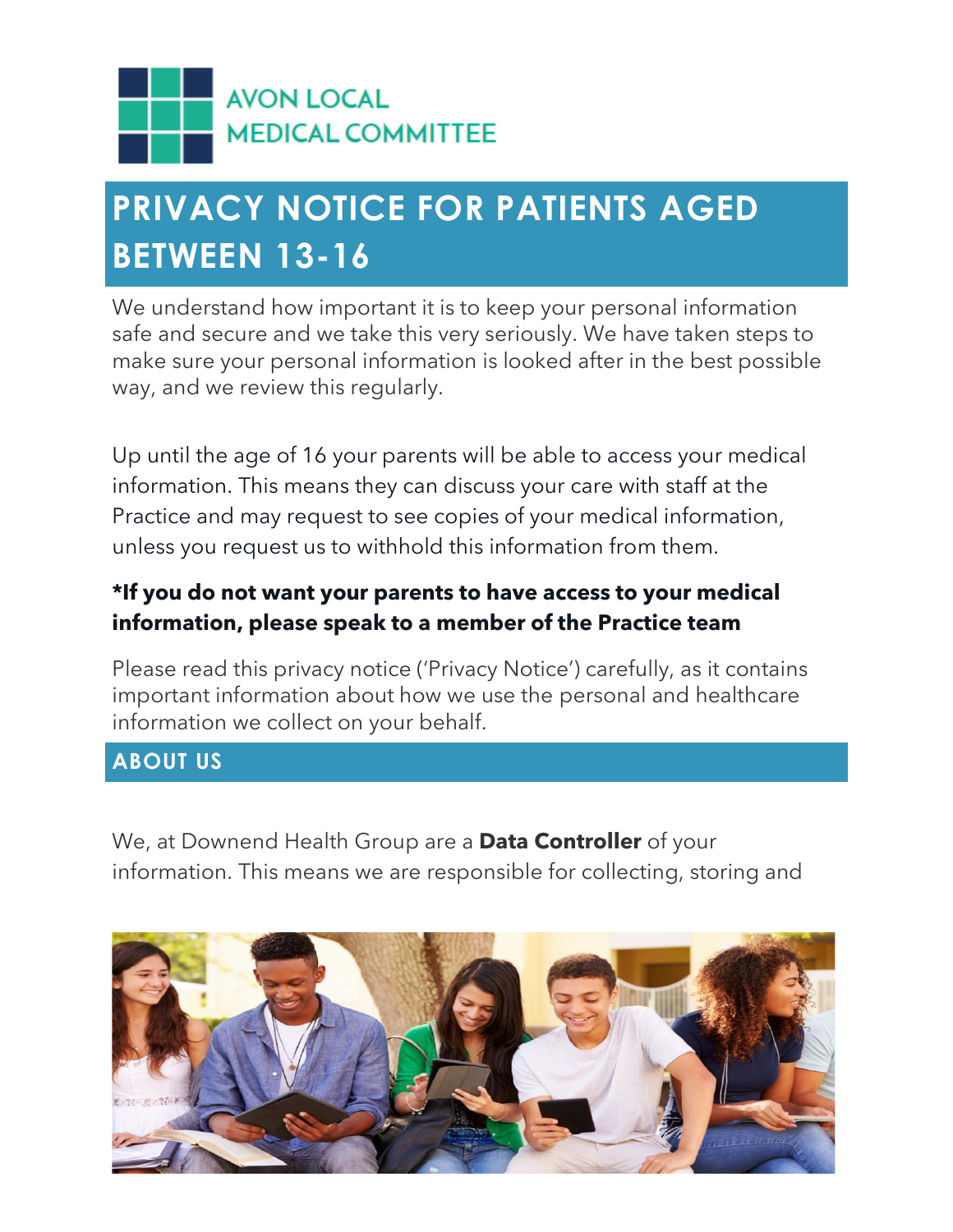

### **PRIVACY NOTICE FOR PATIENTS AGED BETWEEN 13-16**

We understand how important it is to keep your personal information safe and secure and we take this very seriously. We have taken steps to make sure your personal information is looked after in the best possible way, and we review this regularly.

Up until the age of 16 your parents will be able to access your medical information. This means they can discuss your care with staff at the Practice and may request to see copies of your medical information, unless you request us to withhold this information from them.

### **\*If you do not want your parents to have access to your medical information, please speak to a member of the Practice team**

Please read this privacy notice ('Privacy Notice') carefully, as it contains important information about how we use the personal and healthcare information we collect on your behalf.

#### **ABOUT US**

We, at Downend Health Group are a **Data Controller** of your information. This means we are responsible for collecting, storing and

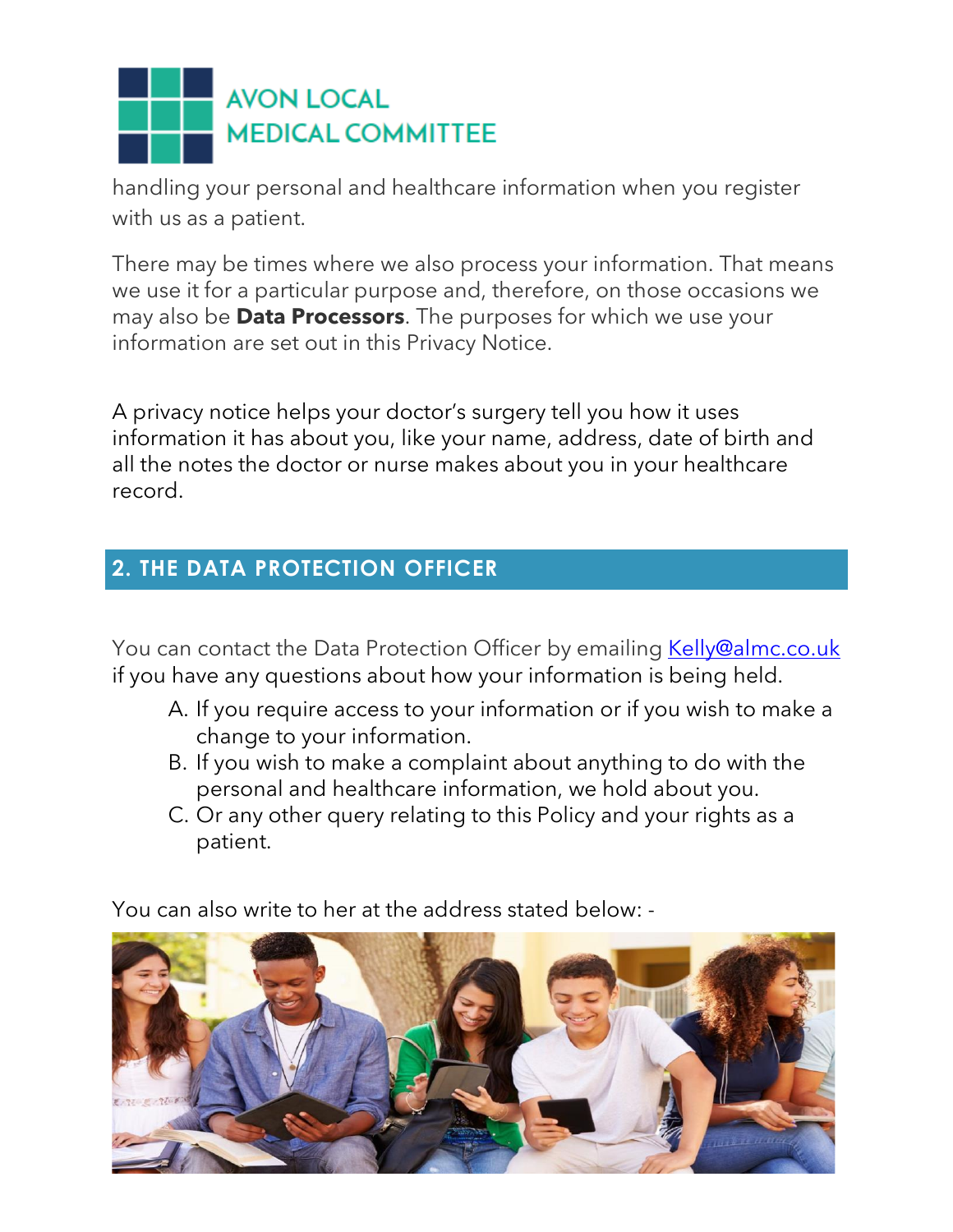

handling your personal and healthcare information when you register with us as a patient.

There may be times where we also process your information. That means we use it for a particular purpose and, therefore, on those occasions we may also be **Data Processors**. The purposes for which we use your information are set out in this Privacy Notice.

A privacy notice helps your doctor's surgery tell you how it uses information it has about you, like your name, address, date of birth and all the notes the doctor or nurse makes about you in your healthcare record.

#### **2. THE DATA PROTECTION OFFICER**

You can contact the Data Protection Officer by emailing [Kelly@almc.co.uk](mailto:Kelly@almc.co.uk) if you have any questions about how your information is being held.

- A. If you require access to your information or if you wish to make a change to your information.
- B. If you wish to make a complaint about anything to do with the personal and healthcare information, we hold about you.
- C. Or any other query relating to this Policy and your rights as a patient.

You can also write to her at the address stated below: -

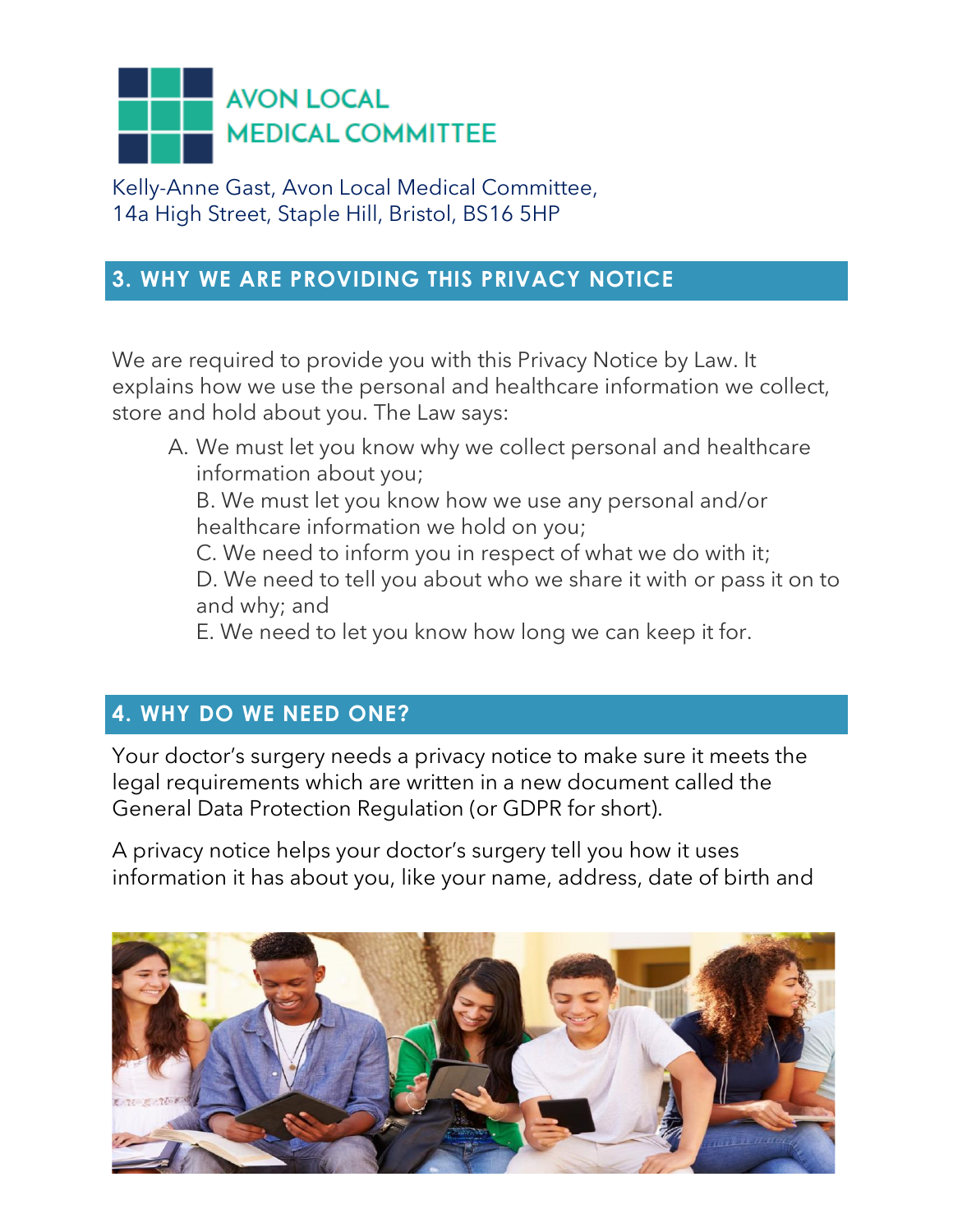

Kelly-Anne Gast, Avon Local Medical Committee, 14a High Street, Staple Hill, Bristol, BS16 5HP

#### **3. WHY WE ARE PROVIDING THIS PRIVACY NOTICE**

We are required to provide you with this Privacy Notice by Law. It explains how we use the personal and healthcare information we collect, store and hold about you. The Law says:

A. We must let you know why we collect personal and healthcare information about you;

B. We must let you know how we use any personal and/or healthcare information we hold on you;

C. We need to inform you in respect of what we do with it;

D. We need to tell you about who we share it with or pass it on to and why; and

E. We need to let you know how long we can keep it for.

### **4. WHY DO WE NEED ONE?**

Your doctor's surgery needs a privacy notice to make sure it meets the legal requirements which are written in a new document called the General Data Protection Regulation (or GDPR for short).

A privacy notice helps your doctor's surgery tell you how it uses information it has about you, like your name, address, date of birth and

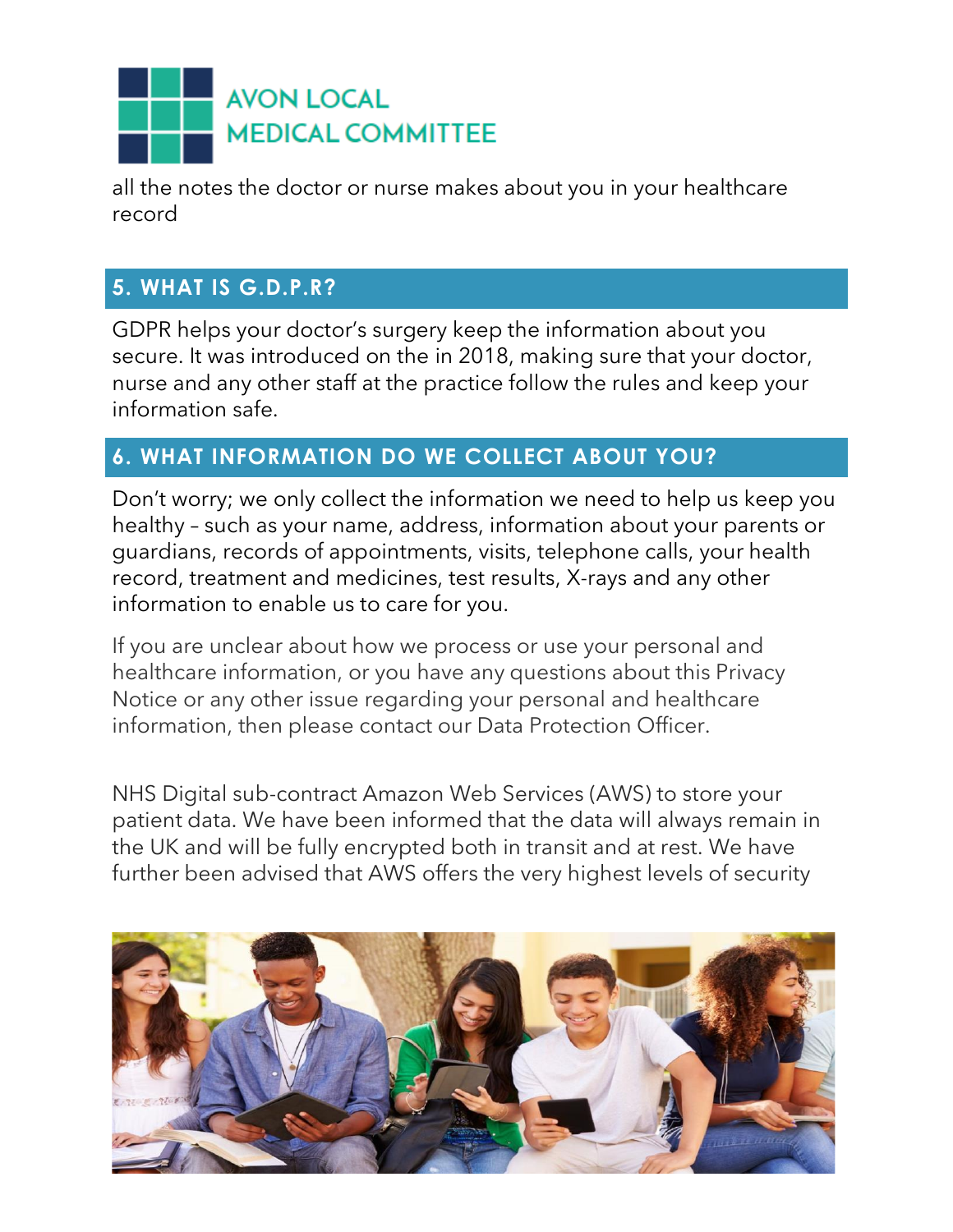

all the notes the doctor or nurse makes about you in your healthcare record

### **5. WHAT IS G.D.P.R?**

GDPR helps your doctor's surgery keep the information about you secure. It was introduced on the in 2018, making sure that your doctor, nurse and any other staff at the practice follow the rules and keep your information safe.

### **6. WHAT INFORMATION DO WE COLLECT ABOUT YOU?**

Don't worry; we only collect the information we need to help us keep you healthy – such as your name, address, information about your parents or guardians, records of appointments, visits, telephone calls, your health record, treatment and medicines, test results, X-rays and any other information to enable us to care for you.

If you are unclear about how we process or use your personal and healthcare information, or you have any questions about this Privacy Notice or any other issue regarding your personal and healthcare information, then please contact our Data Protection Officer.

NHS Digital sub-contract Amazon Web Services (AWS) to store your patient data. We have been informed that the data will always remain in the UK and will be fully encrypted both in transit and at rest. We have further been advised that AWS offers the very highest levels of security

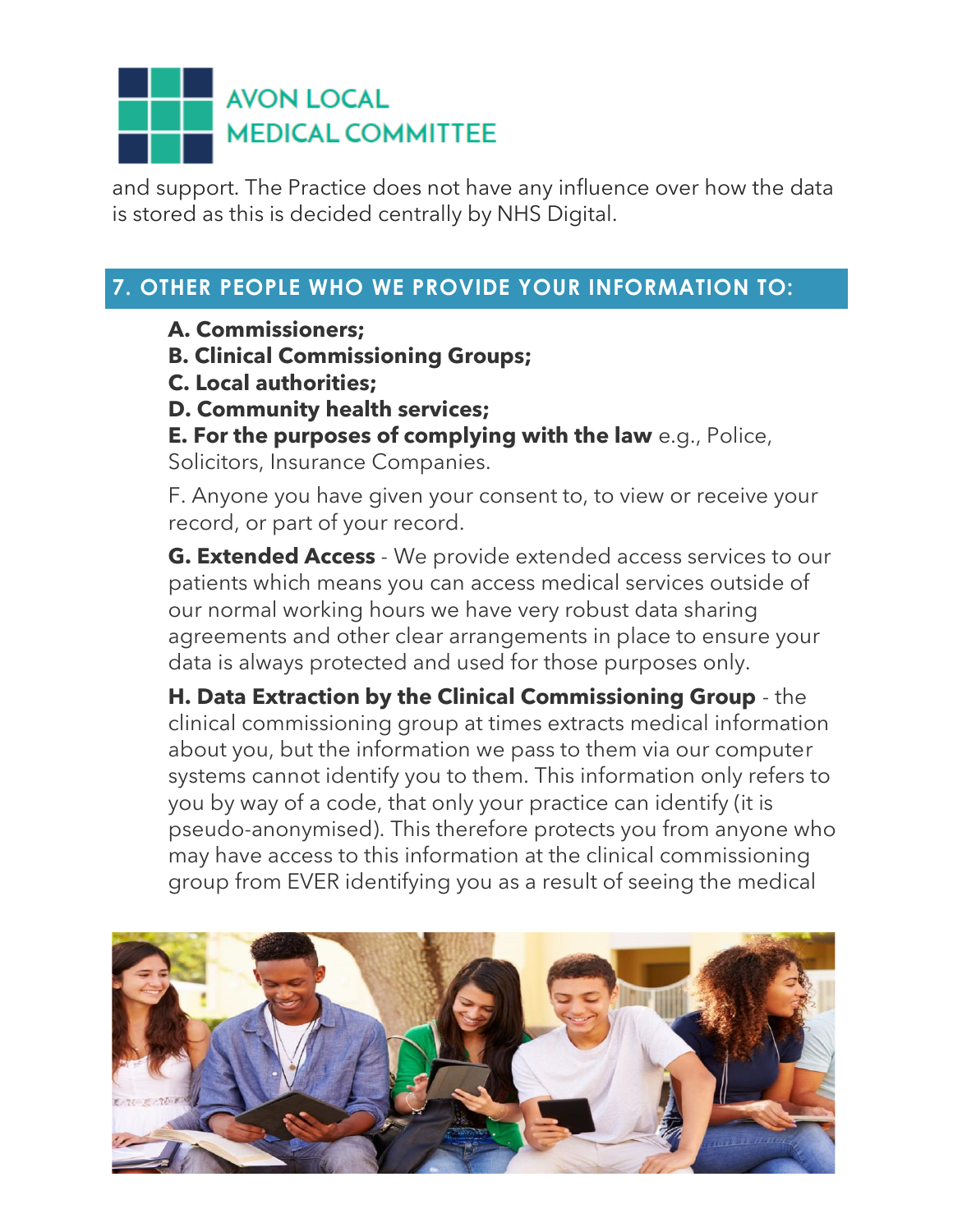and support. The Practice does not have any influence over how the data is stored as this is decided centrally by NHS Digital.

### **7. OTHER PEOPLE WHO WE PROVIDE YOUR INFORMATION TO:**

**A. Commissioners;** 

- **B. Clinical Commissioning Groups;**
- **C. Local authorities;**
- **D. Community health services;**
- **E. For the purposes of complying with the law** e.g., Police,

Solicitors, Insurance Companies.

F. Anyone you have given your consent to, to view or receive your record, or part of your record.

**G. Extended Access** - We provide extended access services to our patients which means you can access medical services outside of our normal working hours we have very robust data sharing agreements and other clear arrangements in place to ensure your data is always protected and used for those purposes only.

**H. Data Extraction by the Clinical Commissioning Group** - the clinical commissioning group at times extracts medical information about you, but the information we pass to them via our computer systems cannot identify you to them. This information only refers to you by way of a code, that only your practice can identify (it is pseudo-anonymised). This therefore protects you from anyone who may have access to this information at the clinical commissioning group from EVER identifying you as a result of seeing the medical

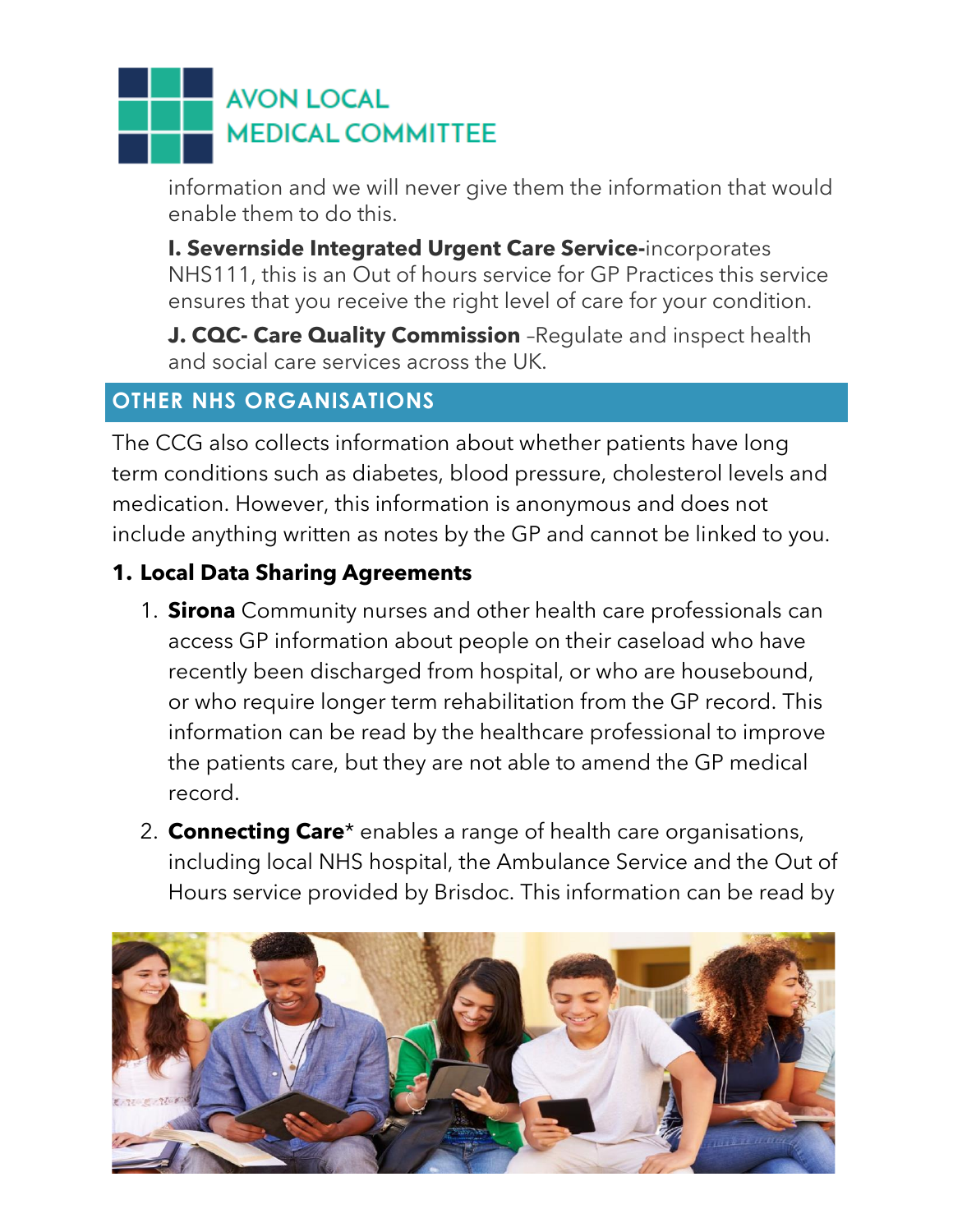information and we will never give them the information that would enable them to do this.

**I. Severnside Integrated Urgent Care Service-**incorporates NHS111, this is an Out of hours service for GP Practices this service ensures that you receive the right level of care for your condition.

**J. CQC- Care Quality Commission** –Regulate and inspect health and social care services across the UK.

### **OTHER NHS ORGANISATIONS**

The CCG also collects information about whether patients have long term conditions such as diabetes, blood pressure, cholesterol levels and medication. However, this information is anonymous and does not include anything written as notes by the GP and cannot be linked to you.

### **1. Local Data Sharing Agreements**

- 1. **Sirona** Community nurses and other health care professionals can access GP information about people on their caseload who have recently been discharged from hospital, or who are housebound, or who require longer term rehabilitation from the GP record. This information can be read by the healthcare professional to improve the patients care, but they are not able to amend the GP medical record.
- 2. **Connecting Care**\* enables a range of health care organisations, including local NHS hospital, the Ambulance Service and the Out of Hours service provided by Brisdoc. This information can be read by

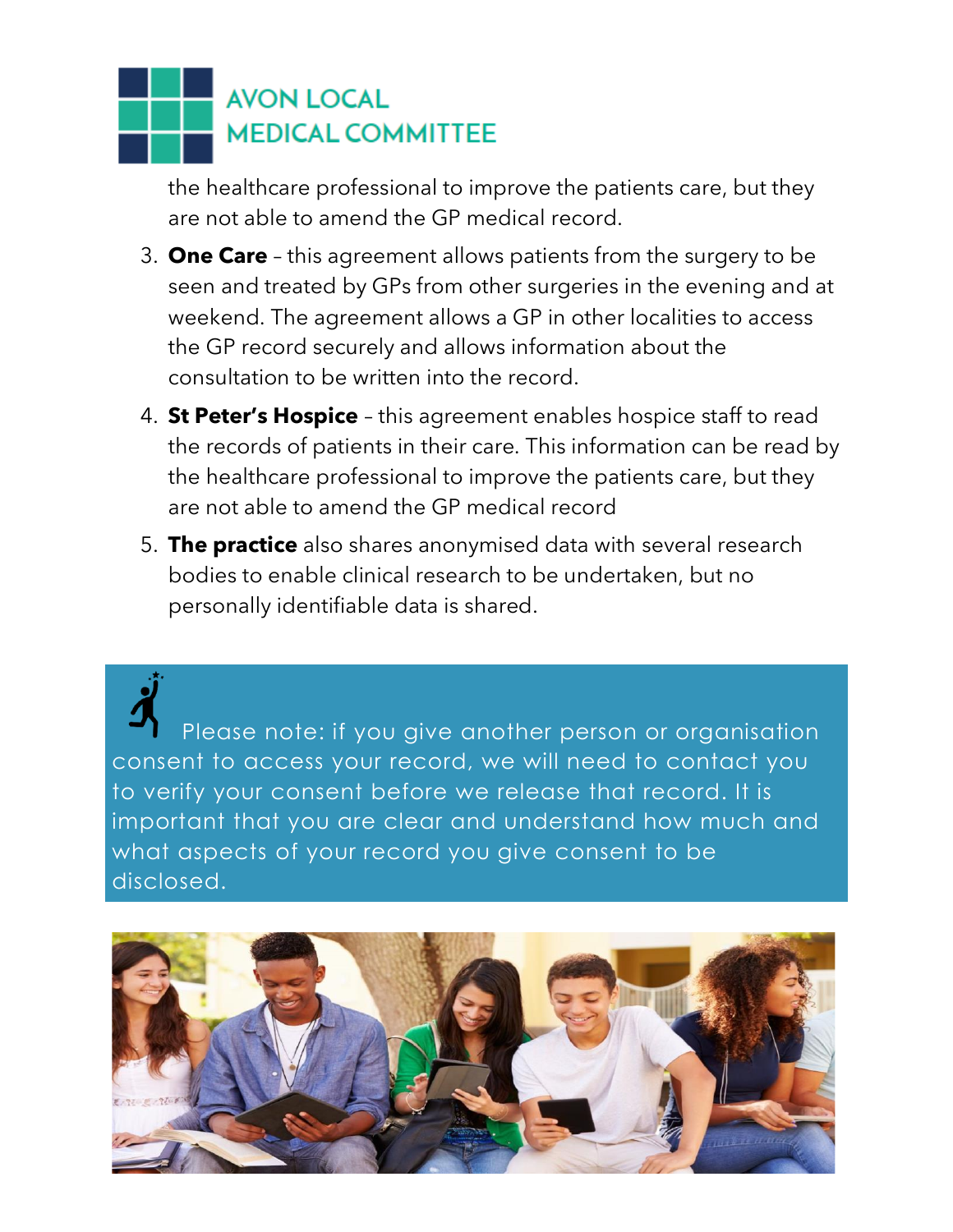the healthcare professional to improve the patients care, but they are not able to amend the GP medical record.

- 3. **One Care** this agreement allows patients from the surgery to be seen and treated by GPs from other surgeries in the evening and at weekend. The agreement allows a GP in other localities to access the GP record securely and allows information about the consultation to be written into the record.
- 4. **St Peter's Hospice** this agreement enables hospice staff to read the records of patients in their care. This information can be read by the healthcare professional to improve the patients care, but they are not able to amend the GP medical record
- 5. **The practice** also shares anonymised data with several research bodies to enable clinical research to be undertaken, but no personally identifiable data is shared.

Please note: if you give another person or organisation consent to access your record, we will need to contact you to verify your consent before we release that record. It is important that you are clear and understand how much and what aspects of your record you give consent to be disclosed.

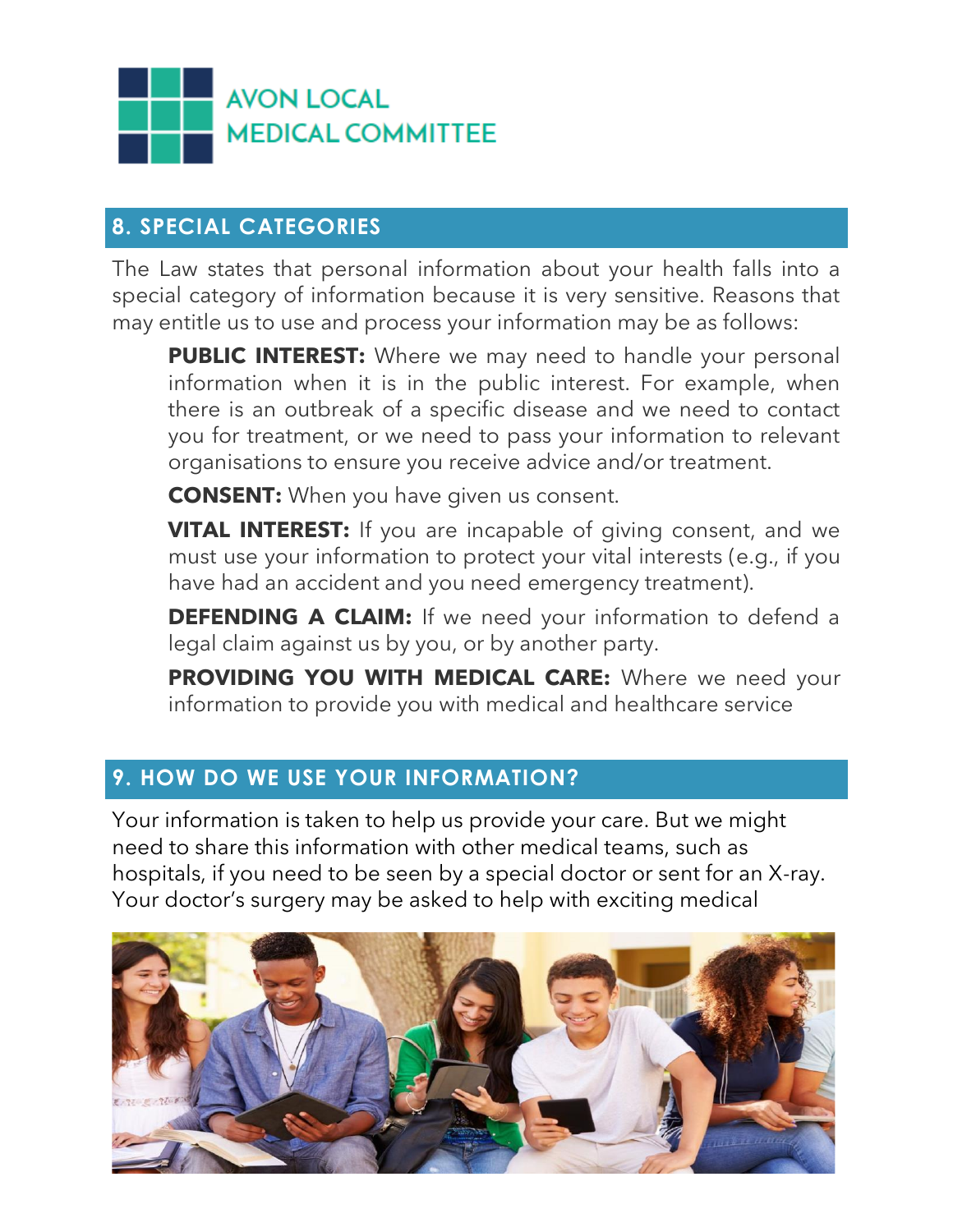

#### **8. SPECIAL CATEGORIES**

The Law states that personal information about your health falls into a special category of information because it is very sensitive. Reasons that may entitle us to use and process your information may be as follows:

**PUBLIC INTEREST:** Where we may need to handle your personal information when it is in the public interest. For example, when there is an outbreak of a specific disease and we need to contact you for treatment, or we need to pass your information to relevant organisations to ensure you receive advice and/or treatment.

**CONSENT:** When you have given us consent.

**VITAL INTEREST:** If you are incapable of giving consent, and we must use your information to protect your vital interests (e.g., if you have had an accident and you need emergency treatment).

**DEFENDING A CLAIM:** If we need your information to defend a legal claim against us by you, or by another party.

PROVIDING YOU WITH MEDICAL CARE: Where we need your information to provide you with medical and healthcare service

### **9. HOW DO WE USE YOUR INFORMATION?**

Your information is taken to help us provide your care. But we might need to share this information with other medical teams, such as hospitals, if you need to be seen by a special doctor or sent for an X-ray. Your doctor's surgery may be asked to help with exciting medical

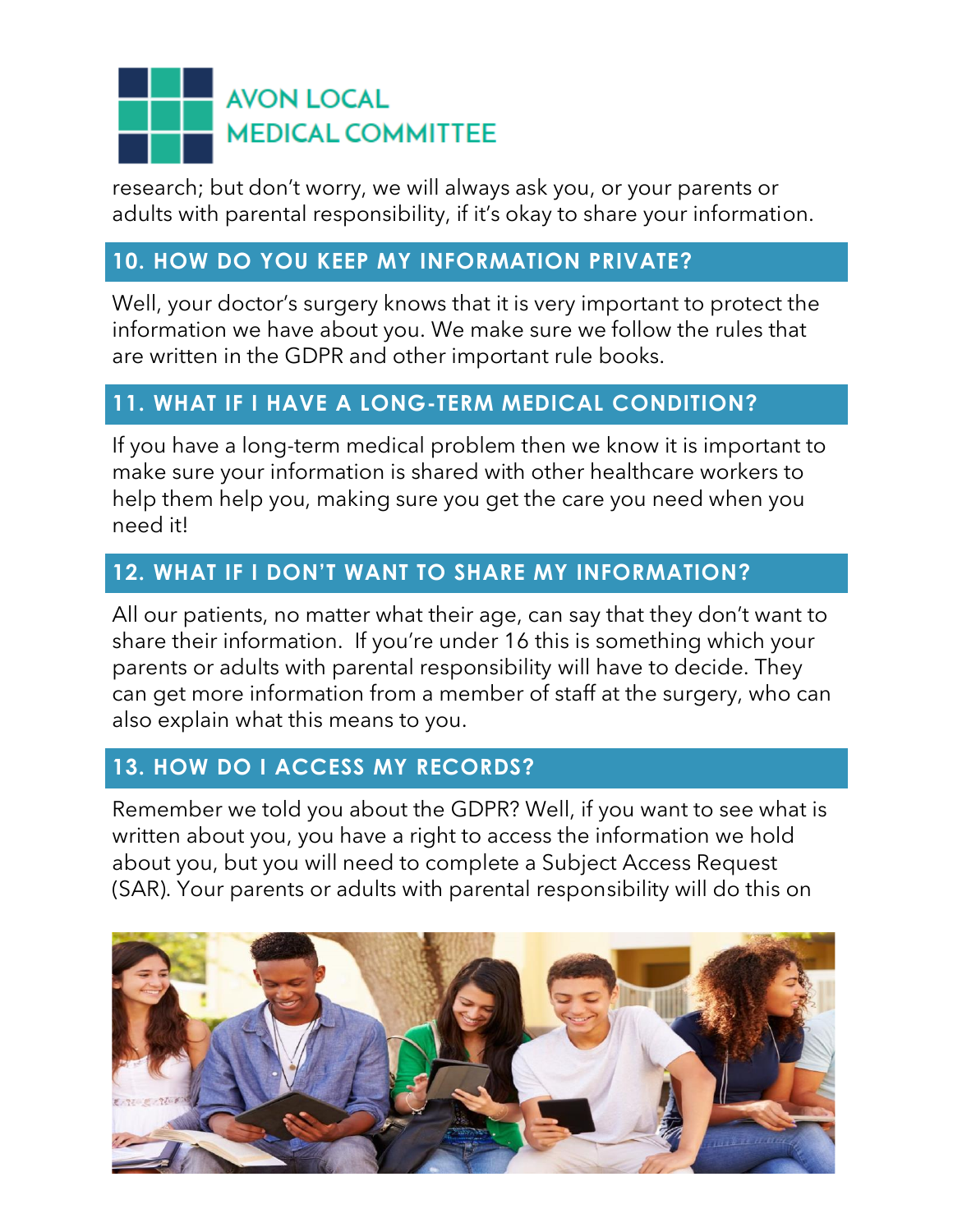research; but don't worry, we will always ask you, or your parents or adults with parental responsibility, if it's okay to share your information.

#### **10. HOW DO YOU KEEP MY INFORMATION PRIVATE?**

Well, your doctor's surgery knows that it is very important to protect the information we have about you. We make sure we follow the rules that are written in the GDPR and other important rule books.

### **11. WHAT IF I HAVE A LONG-TERM MEDICAL CONDITION?**

If you have a long-term medical problem then we know it is important to make sure your information is shared with other healthcare workers to help them help you, making sure you get the care you need when you need it!

### **12. WHAT IF I DON'T WANT TO SHARE MY INFORMATION?**

All our patients, no matter what their age, can say that they don't want to share their information. If you're under 16 this is something which your parents or adults with parental responsibility will have to decide. They can get more information from a member of staff at the surgery, who can also explain what this means to you.

### **13. HOW DO I ACCESS MY RECORDS?**

Remember we told you about the GDPR? Well, if you want to see what is written about you, you have a right to access the information we hold about you, but you will need to complete a Subject Access Request (SAR). Your parents or adults with parental responsibility will do this on

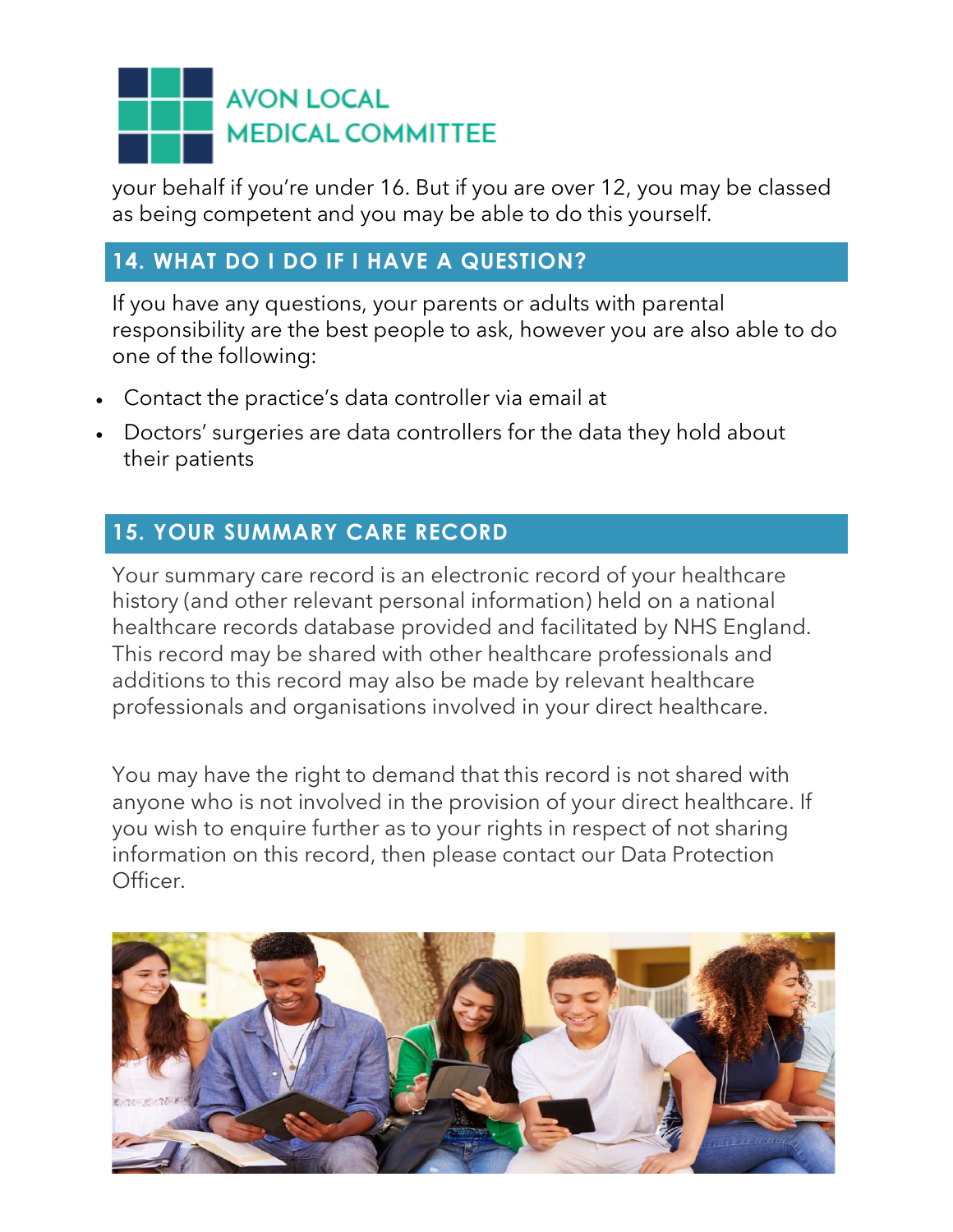your behalf if you're under 16. But if you are over 12, you may be classed as being competent and you may be able to do this yourself.

### **14. WHAT DO I DO IF I HAVE A QUESTION?**

If you have any questions, your parents or adults with parental responsibility are the best people to ask, however you are also able to do one of the following:

- Contact the practice's data controller via email at
- Doctors' surgeries are data controllers for the data they hold about their patients

### **15. YOUR SUMMARY CARE RECORD**

Your summary care record is an electronic record of your healthcare history (and other relevant personal information) held on a national healthcare records database provided and facilitated by NHS England. This record may be shared with other healthcare professionals and additions to this record may also be made by relevant healthcare professionals and organisations involved in your direct healthcare.

You may have the right to demand that this record is not shared with anyone who is not involved in the provision of your direct healthcare. If you wish to enquire further as to your rights in respect of not sharing information on this record, then please contact our Data Protection Officer.

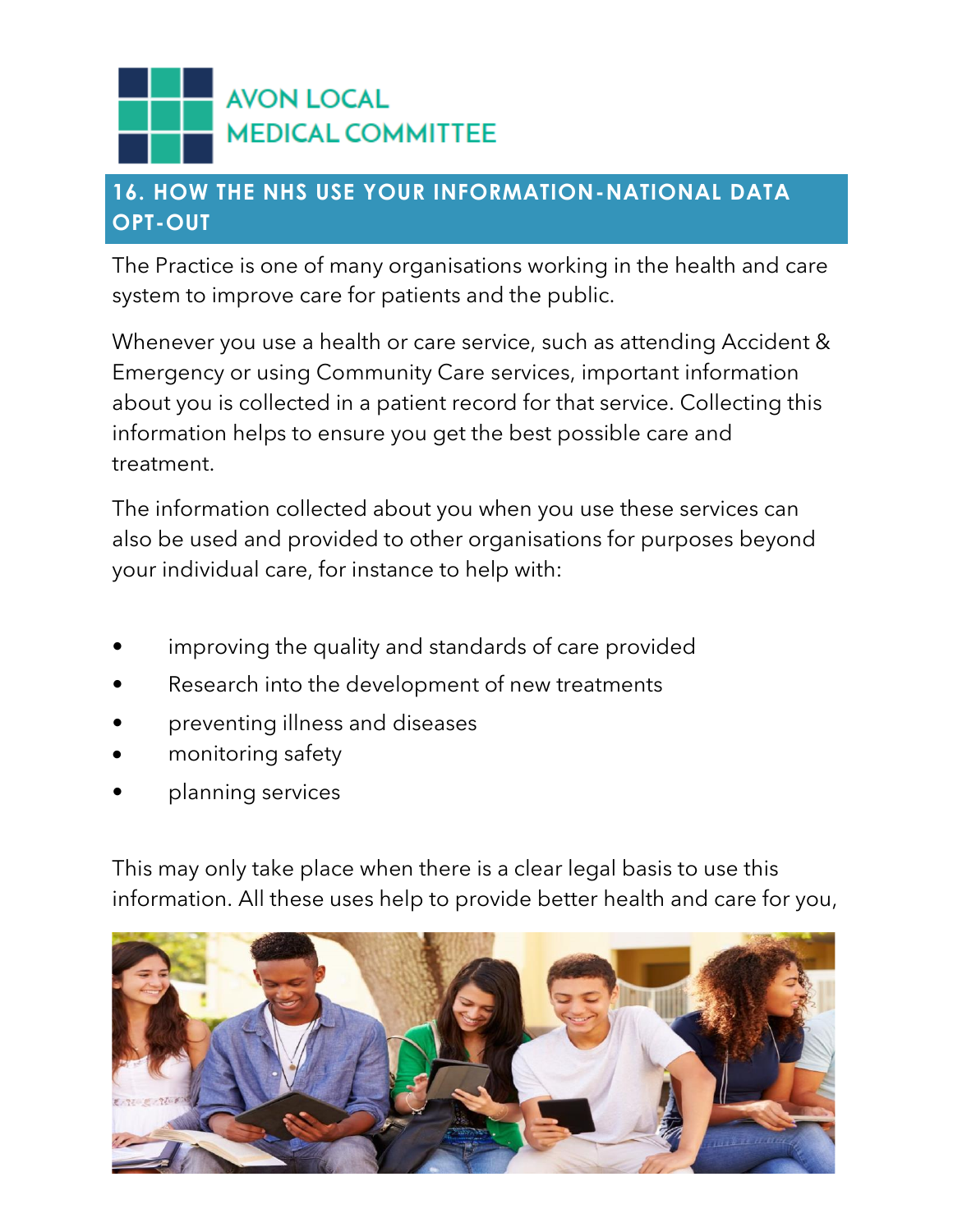### **16. HOW THE NHS USE YOUR INFORMATION-NATIONAL DATA OPT-OUT**

The Practice is one of many organisations working in the health and care system to improve care for patients and the public.

Whenever you use a health or care service, such as attending Accident & Emergency or using Community Care services, important information about you is collected in a patient record for that service. Collecting this information helps to ensure you get the best possible care and treatment.

The information collected about you when you use these services can also be used and provided to other organisations for purposes beyond your individual care, for instance to help with:

- improving the quality and standards of care provided
- Research into the development of new treatments
- preventing illness and diseases
- monitoring safety
- planning services

This may only take place when there is a clear legal basis to use this information. All these uses help to provide better health and care for you,

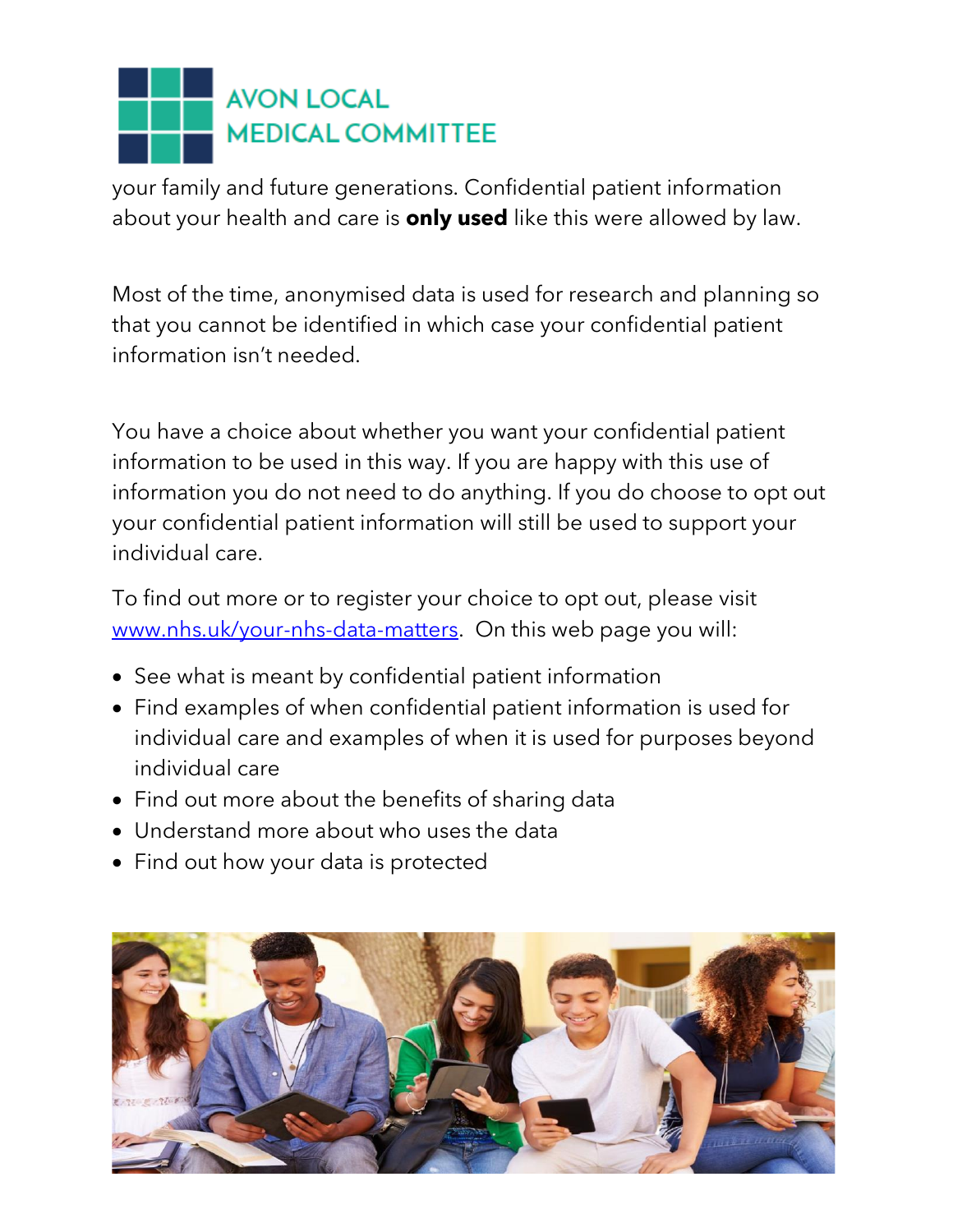your family and future generations. Confidential patient information about your health and care is **only used** like this were allowed by law.

Most of the time, anonymised data is used for research and planning so that you cannot be identified in which case your confidential patient information isn't needed.

You have a choice about whether you want your confidential patient information to be used in this way. If you are happy with this use of information you do not need to do anything. If you do choose to opt out your confidential patient information will still be used to support your individual care.

To find out more or to register your choice to opt out, please visit [www.nhs.uk/your-nhs-data-matters.](http://www.nhs.uk/your-nhs-data-matters) On this web page you will:

- See what is meant by confidential patient information
- Find examples of when confidential patient information is used for individual care and examples of when it is used for purposes beyond individual care
- Find out more about the benefits of sharing data
- Understand more about who uses the data
- Find out how your data is protected

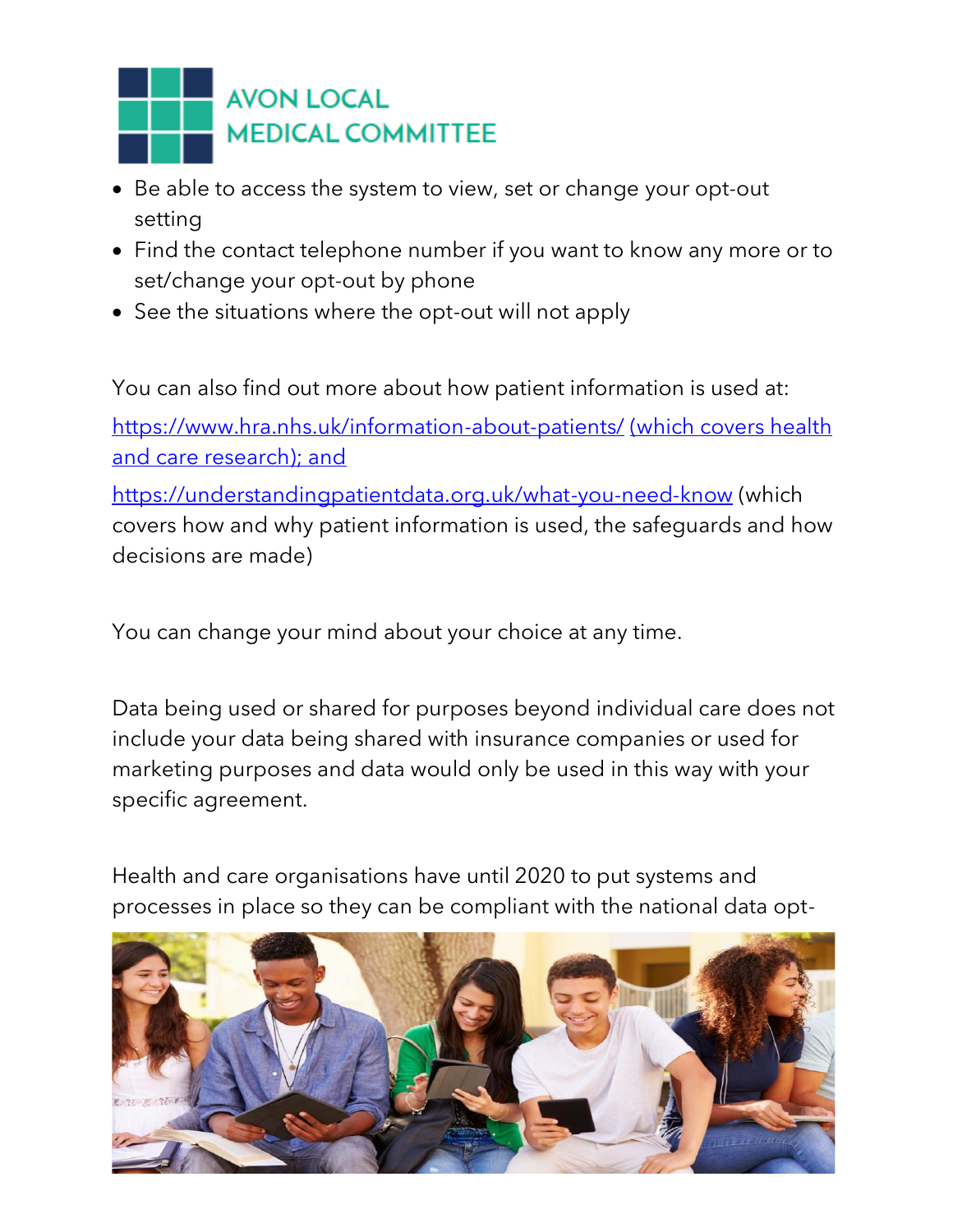

- Be able to access the system to view, set or change your opt-out setting
- Find the contact telephone number if you want to know any more or to set/change your opt-out by phone
- See the situations where the opt-out will not apply

You can also find out more about how patient information is used at: <https://www.hra.nhs.uk/information-about-patients/> (which covers health and care research); and

<https://understandingpatientdata.org.uk/what-you-need-know> (which covers how and why patient information is used, the safeguards and how decisions are made)

You can change your mind about your choice at any time.

Data being used or shared for purposes beyond individual care does not include your data being shared with insurance companies or used for marketing purposes and data would only be used in this way with your specific agreement.

Health and care organisations have until 2020 to put systems and processes in place so they can be compliant with the national data opt-

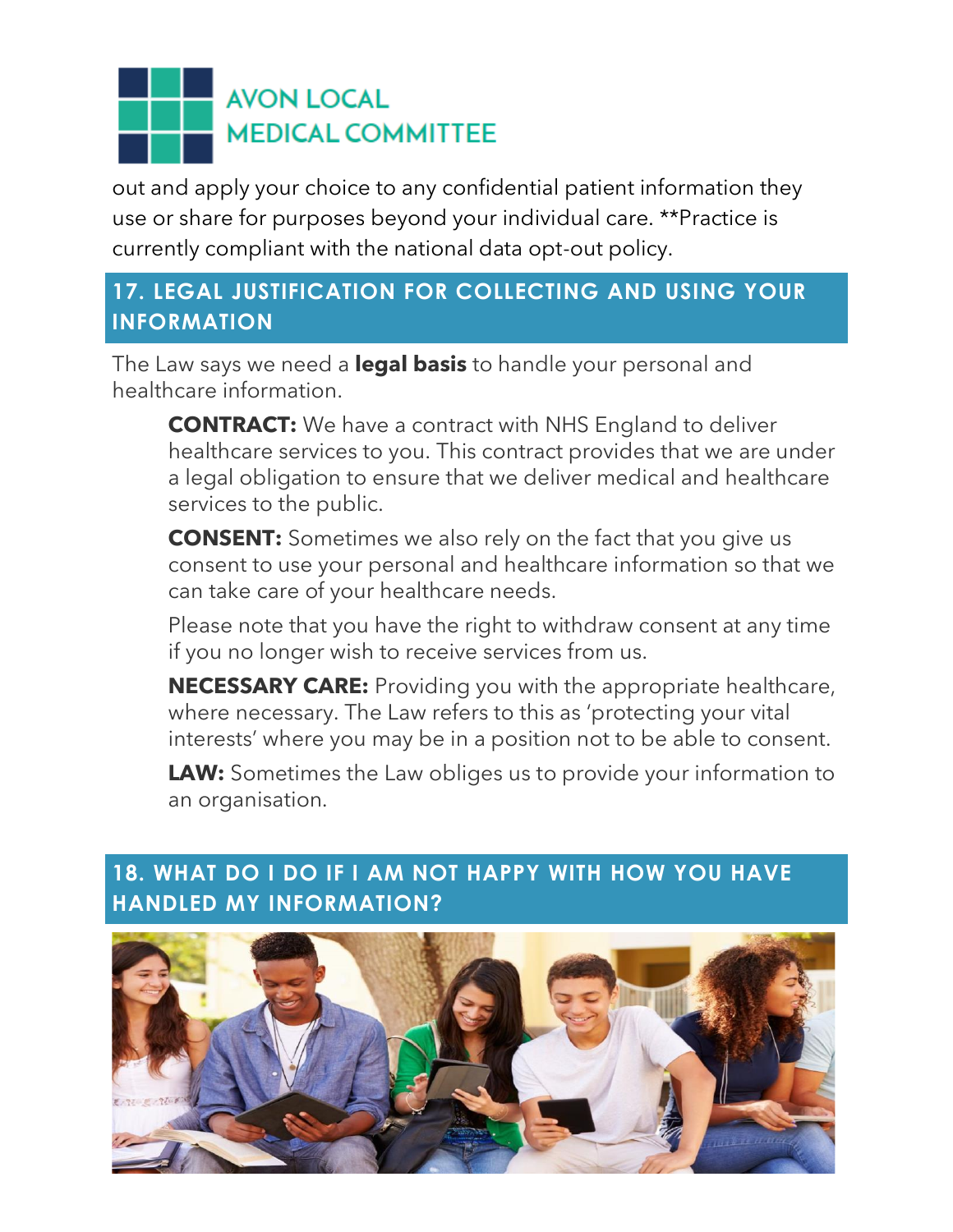out and apply your choice to any confidential patient information they use or share for purposes beyond your individual care. \*\*Practice is currently compliant with the national data opt-out policy.

### **17. LEGAL JUSTIFICATION FOR COLLECTING AND USING YOUR INFORMATION**

The Law says we need a **legal basis** to handle your personal and healthcare information.

**CONTRACT:** We have a contract with NHS England to deliver healthcare services to you. This contract provides that we are under a legal obligation to ensure that we deliver medical and healthcare services to the public.

**CONSENT:** Sometimes we also rely on the fact that you give us consent to use your personal and healthcare information so that we can take care of your healthcare needs.

Please note that you have the right to withdraw consent at any time if you no longer wish to receive services from us.

**NECESSARY CARE:** Providing you with the appropriate healthcare, where necessary. The Law refers to this as 'protecting your vital interests' where you may be in a position not to be able to consent.

**LAW:** Sometimes the Law obliges us to provide your information to an organisation.

### **18. WHAT DO I DO IF I AM NOT HAPPY WITH HOW YOU HAVE HANDLED MY INFORMATION?**

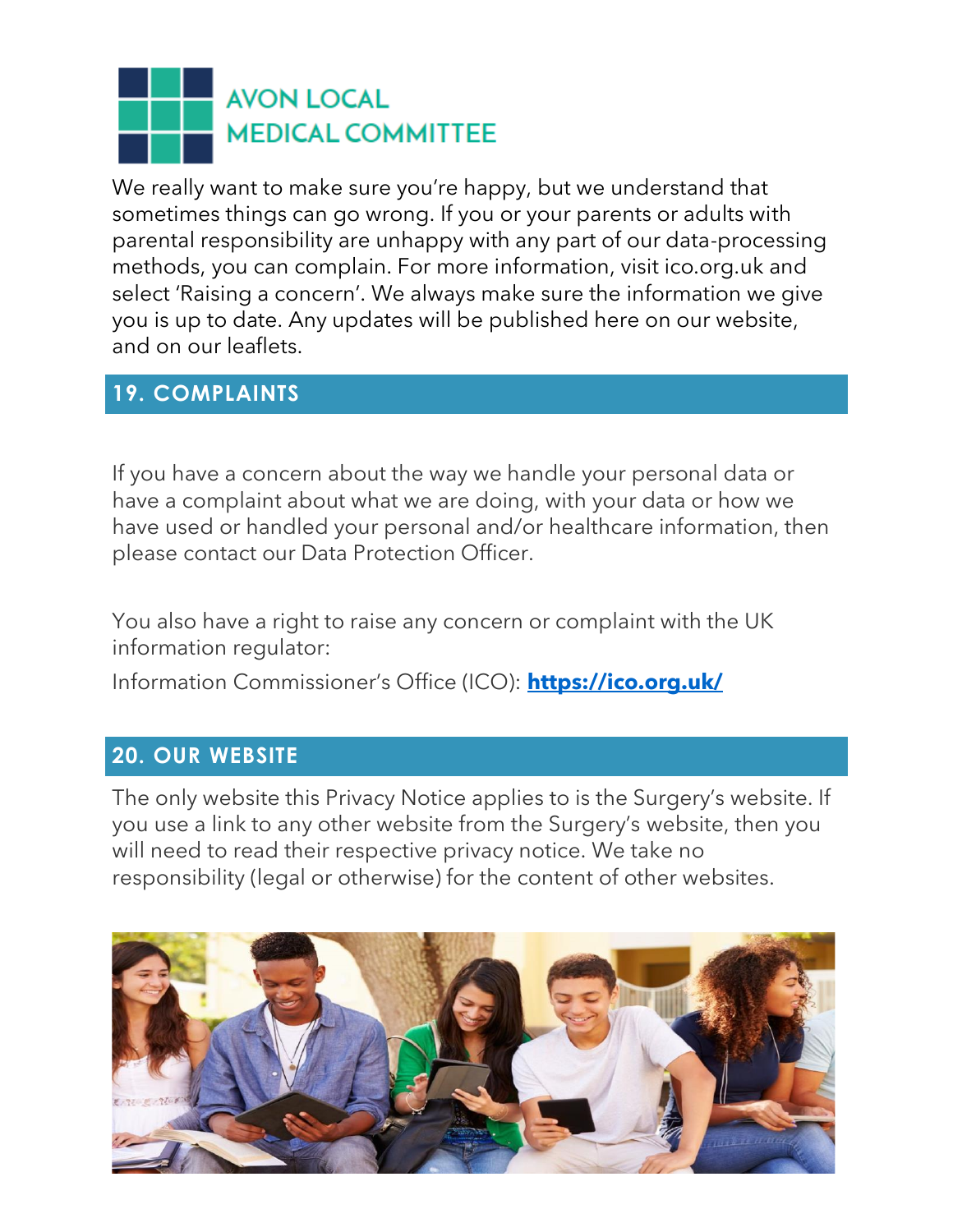We really want to make sure you're happy, but we understand that sometimes things can go wrong. If you or your parents or adults with parental responsibility are unhappy with any part of our data-processing methods, you can complain. For more information, visit ico.org.uk and select 'Raising a concern'. We always make sure the information we give you is up to date. Any updates will be published here on our website, and on our leaflets.

### **19. COMPLAINTS**

If you have a concern about the way we handle your personal data or have a complaint about what we are doing, with your data or how we have used or handled your personal and/or healthcare information, then please contact our Data Protection Officer.

You also have a right to raise any concern or complaint with the UK information regulator:

Information Commissioner's Office (ICO): **<https://ico.org.uk/>**

#### **20. OUR WEBSITE**

The only website this Privacy Notice applies to is the Surgery's website. If you use a link to any other website from the Surgery's website, then you will need to read their respective privacy notice. We take no responsibility (legal or otherwise) for the content of other websites.

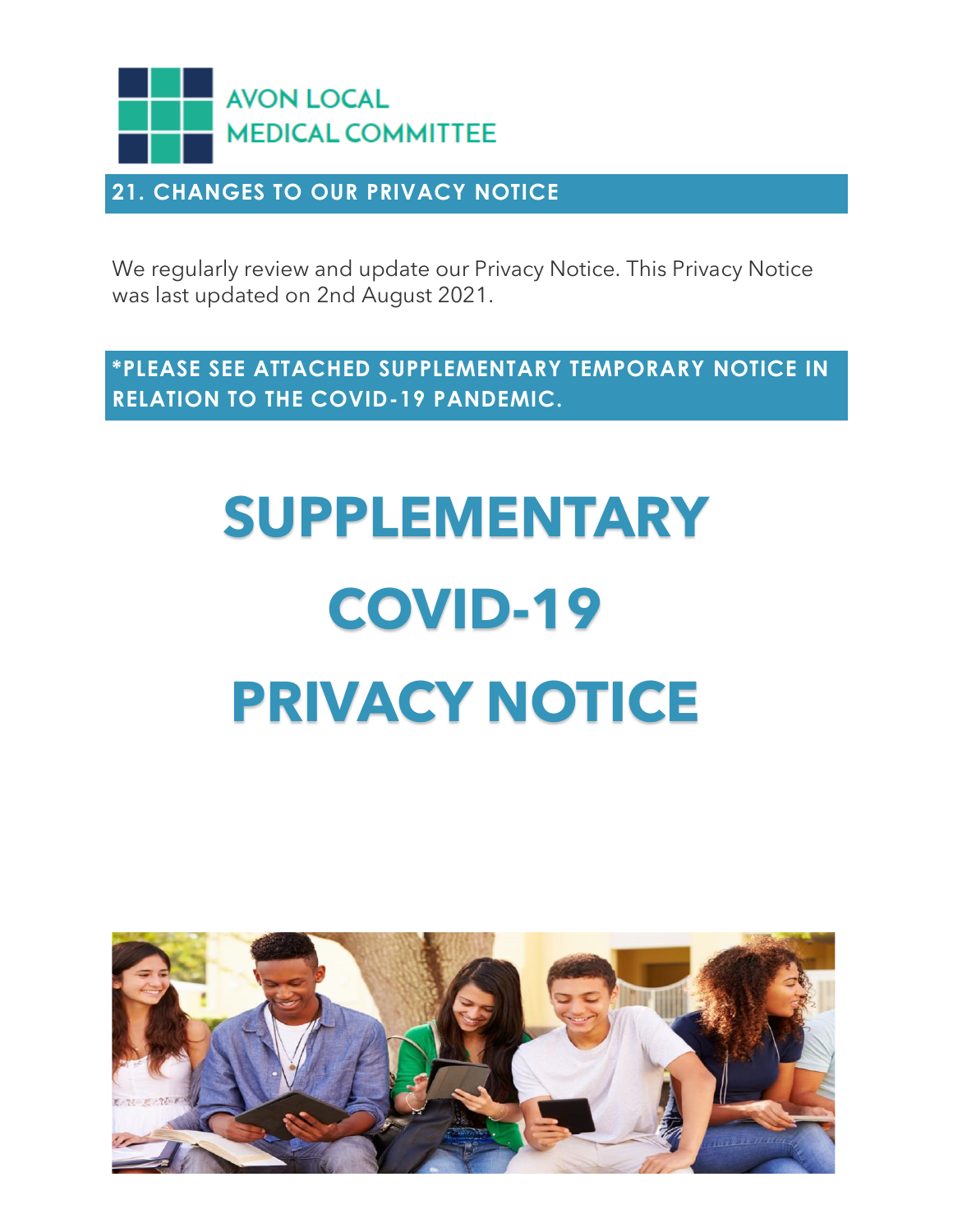

#### **21. CHANGES TO OUR PRIVACY NOTICE**

We regularly review and update our Privacy Notice. This Privacy Notice was last updated on 2nd August 2021.

**\*PLEASE SEE ATTACHED SUPPLEMENTARY TEMPORARY NOTICE IN RELATION TO THE COVID-19 PANDEMIC.** 

# **SUPPLEMENTARY COVID-19 PRIVACY NOTICE**

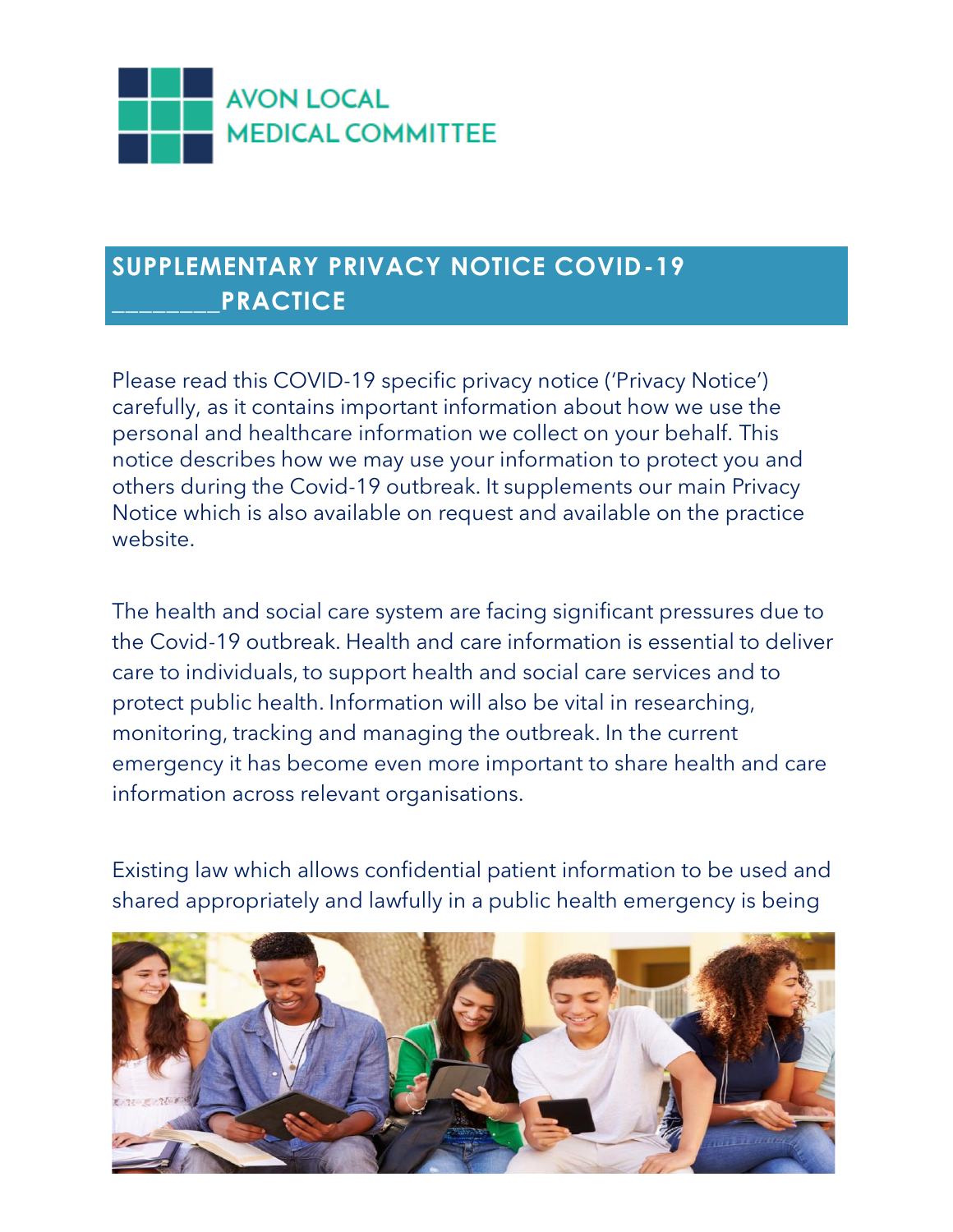

### **SUPPLEMENTARY PRIVACY NOTICE COVID-19 \_\_\_\_\_\_\_\_PRACTICE**

Please read this COVID-19 specific privacy notice ('Privacy Notice') carefully, as it contains important information about how we use the personal and healthcare information we collect on your behalf. This notice describes how we may use your information to protect you and others during the Covid-19 outbreak. It supplements our main Privacy Notice which is also available on request and available on the practice website.

The health and social care system are facing significant pressures due to the Covid-19 outbreak. Health and care information is essential to deliver care to individuals, to support health and social care services and to protect public health. Information will also be vital in researching, monitoring, tracking and managing the outbreak. In the current emergency it has become even more important to share health and care information across relevant organisations.

Existing law which allows confidential patient information to be used and shared appropriately and lawfully in a public health emergency is being

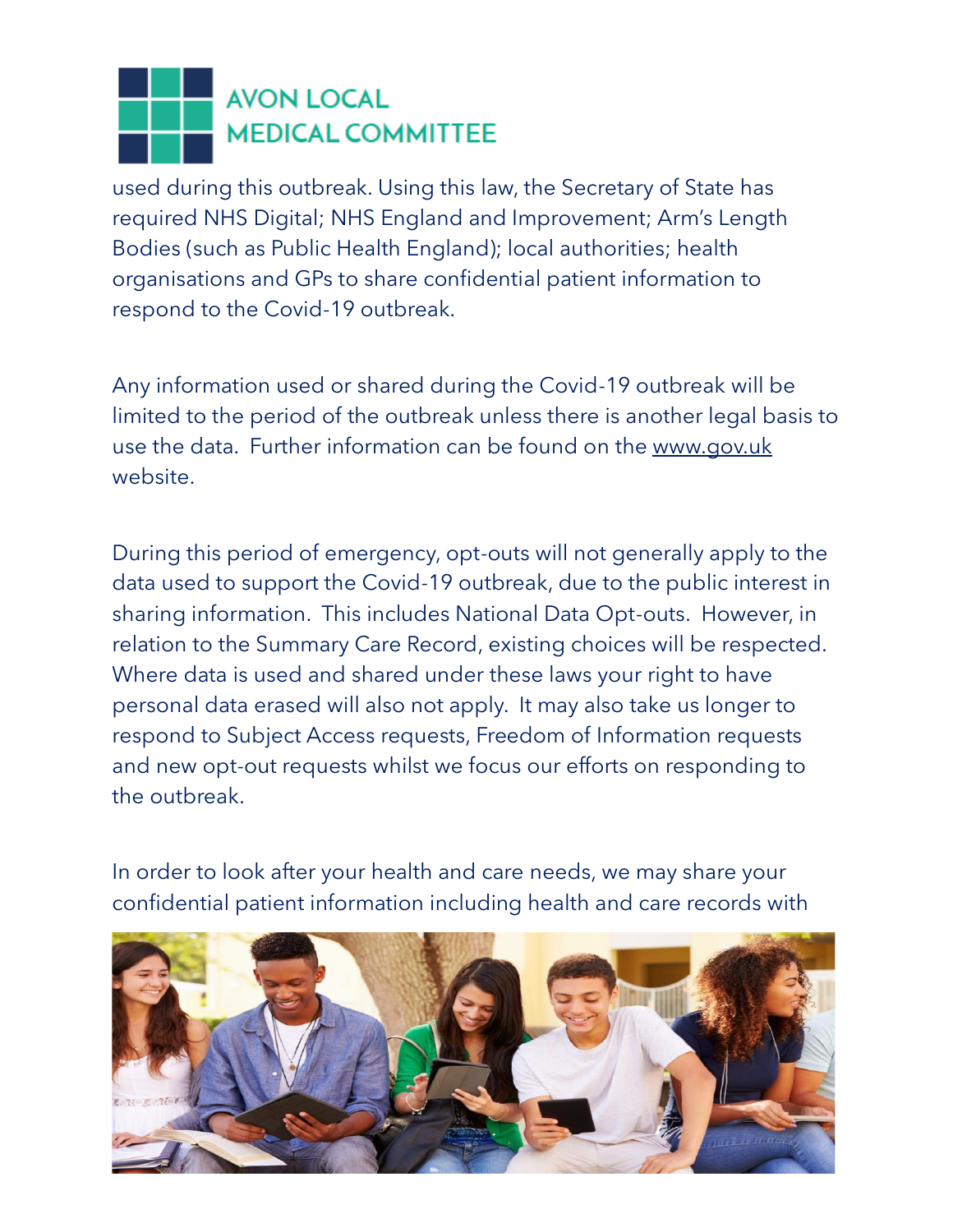used during this outbreak. Using this law, the Secretary of State has required NHS Digital; NHS England and Improvement; Arm's Length Bodies (such as Public Health England); local authorities; health organisations and GPs to share confidential patient information to respond to the Covid-19 outbreak.

Any information used or shared during the Covid-19 outbreak will be limited to the period of the outbreak unless there is another legal basis to use the data. Further information can be found on the [www.gov.uk](http://www.gov.uk/)  website.

During this period of emergency, opt-outs will not generally apply to the data used to support the Covid-19 outbreak, due to the public interest in sharing information. This includes National Data Opt-outs. However, in relation to the Summary Care Record, existing choices will be respected. Where data is used and shared under these laws your right to have personal data erased will also not apply. It may also take us longer to respond to Subject Access requests, Freedom of Information requests and new opt-out requests whilst we focus our efforts on responding to the outbreak.

In order to look after your health and care needs, we may share your confidential patient information including health and care records with

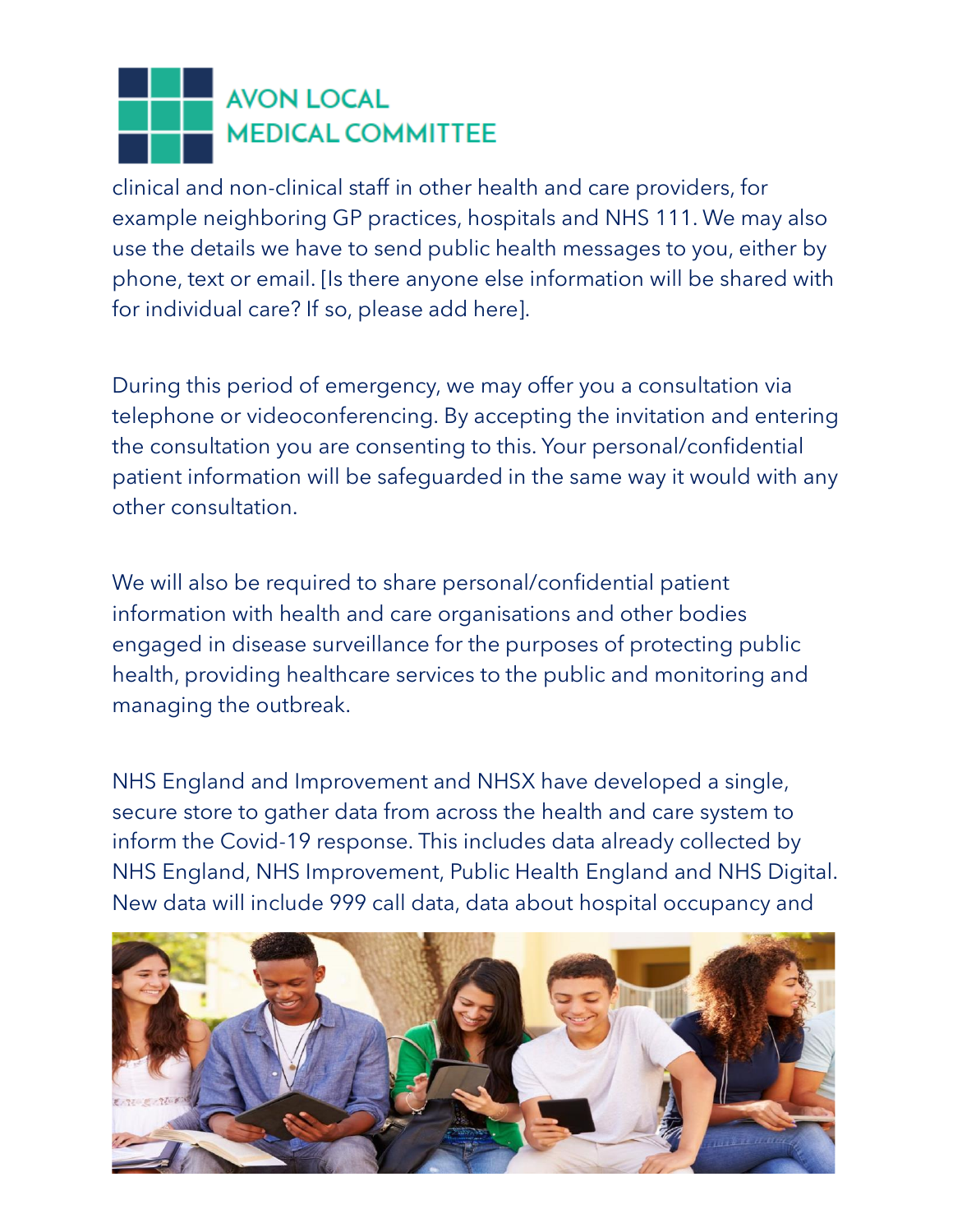clinical and non-clinical staff in other health and care providers, for example neighboring GP practices, hospitals and NHS 111. We may also use the details we have to send public health messages to you, either by phone, text or email. [Is there anyone else information will be shared with for individual care? If so, please add here].

During this period of emergency, we may offer you a consultation via telephone or videoconferencing. By accepting the invitation and entering the consultation you are consenting to this. Your personal/confidential patient information will be safeguarded in the same way it would with any other consultation.

We will also be required to share personal/confidential patient information with health and care organisations and other bodies engaged in disease surveillance for the purposes of protecting public health, providing healthcare services to the public and monitoring and managing the outbreak.

NHS England and Improvement and NHSX have developed a single, secure store to gather data from across the health and care system to inform the Covid-19 response. This includes data already collected by NHS England, NHS Improvement, Public Health England and NHS Digital. New data will include 999 call data, data about hospital occupancy and

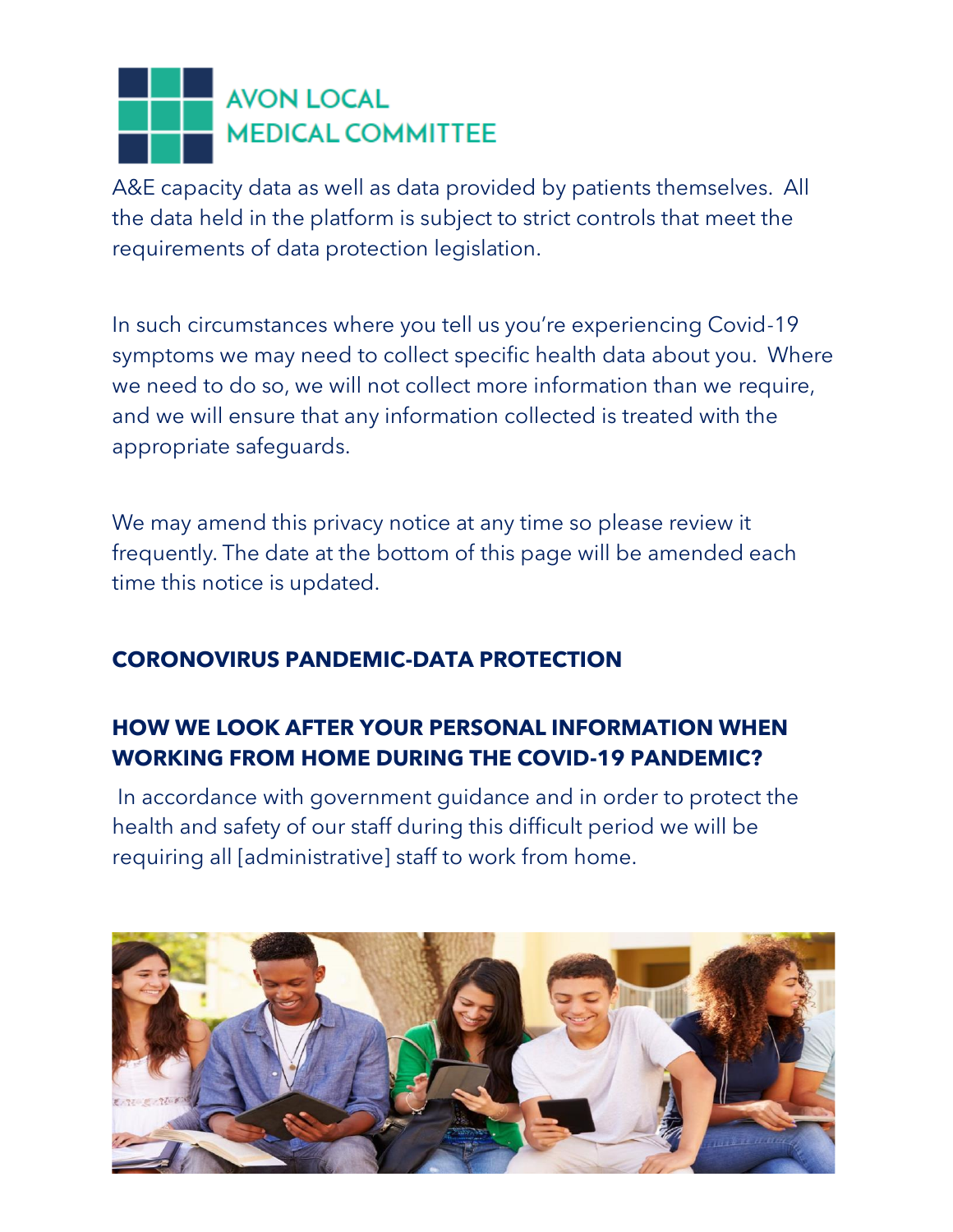A&E capacity data as well as data provided by patients themselves. All the data held in the platform is subject to strict controls that meet the requirements of data protection legislation.

In such circumstances where you tell us you're experiencing Covid-19 symptoms we may need to collect specific health data about you. Where we need to do so, we will not collect more information than we require, and we will ensure that any information collected is treated with the appropriate safeguards.

We may amend this privacy notice at any time so please review it frequently. The date at the bottom of this page will be amended each time this notice is updated.

#### **CORONOVIRUS PANDEMIC-DATA PROTECTION**

### **HOW WE LOOK AFTER YOUR PERSONAL INFORMATION WHEN WORKING FROM HOME DURING THE COVID-19 PANDEMIC?**

In accordance with government guidance and in order to protect the health and safety of our staff during this difficult period we will be requiring all [administrative] staff to work from home.

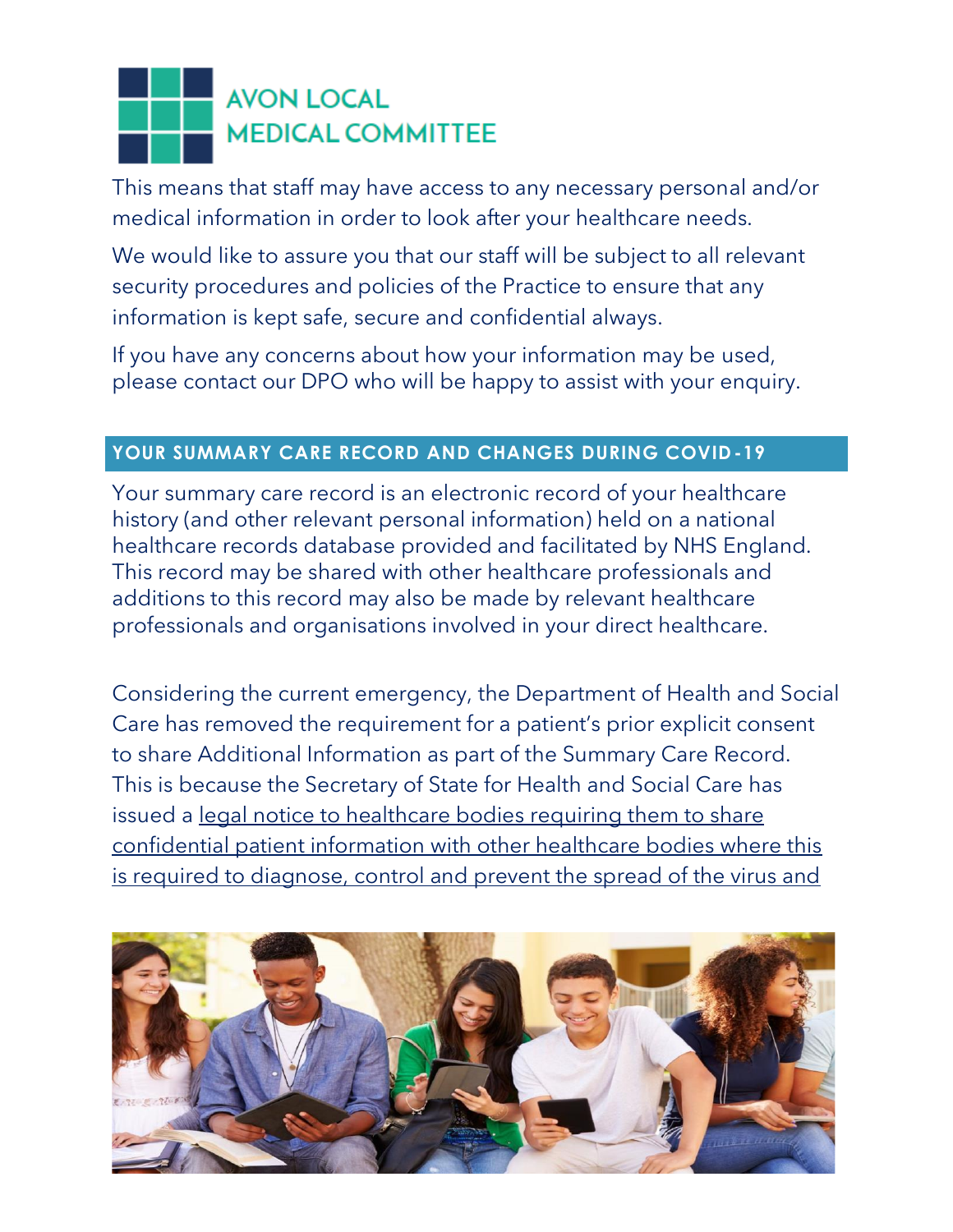This means that staff may have access to any necessary personal and/or medical information in order to look after your healthcare needs.

We would like to assure you that our staff will be subject to all relevant security procedures and policies of the Practice to ensure that any information is kept safe, secure and confidential always.

If you have any concerns about how your information may be used, please contact our DPO who will be happy to assist with your enquiry.

#### **YOUR SUMMARY CARE RECORD AND CHANGES DURING COVID -19**

Your summary care record is an electronic record of your healthcare history (and other relevant personal information) held on a national healthcare records database provided and facilitated by NHS England. This record may be shared with other healthcare professionals and additions to this record may also be made by relevant healthcare professionals and organisations involved in your direct healthcare.

Considering the current emergency, the Department of Health and Social Care has removed the requirement for a patient's prior explicit consent to share Additional Information as part of the Summary Care Record. This is because the Secretary of State for Health and Social Care has issued a legal notice to healthcare bodies requiring them to share [confidential patient information with other healthcare bodies where this](https://www.nhsx.nhs.uk/media/documents/Final_General_COPI_Notice.pdf)  [is required to diagnose, control and prevent the spread of the virus and](https://www.nhsx.nhs.uk/media/documents/Final_General_COPI_Notice.pdf) 

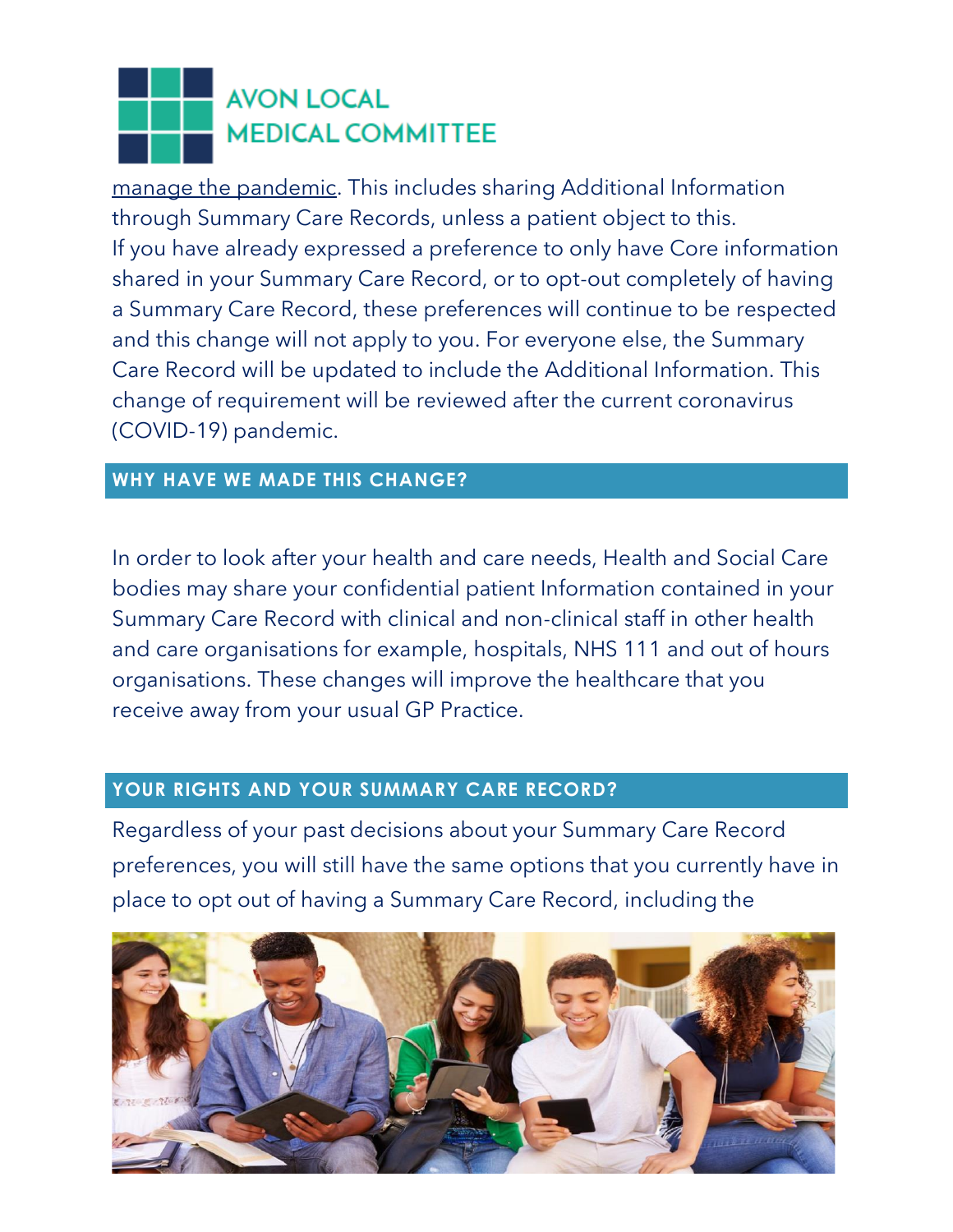[manage the pandemic.](https://www.nhsx.nhs.uk/media/documents/Final_General_COPI_Notice.pdf) This includes sharing Additional Information through Summary Care Records, unless a patient object to this. If you have already expressed a preference to only have Core information shared in your Summary Care Record, or to opt-out completely of having a Summary Care Record, these preferences will continue to be respected and this change will not apply to you. For everyone else, the Summary Care Record will be updated to include the Additional Information. This change of requirement will be reviewed after the current coronavirus (COVID-19) pandemic.

#### **WHY HAVE WE MADE THIS CHANGE?**

In order to look after your health and care needs, Health and Social Care bodies may share your confidential patient Information contained in your Summary Care Record with clinical and non-clinical staff in other health and care organisations for example, hospitals, NHS 111 and out of hours organisations. These changes will improve the healthcare that you receive away from your usual GP Practice.

#### **YOUR RIGHTS AND YOUR SUMMARY CARE RECORD?**

Regardless of your past decisions about your Summary Care Record preferences, you will still have the same options that you currently have in place to opt out of having a Summary Care Record, including the

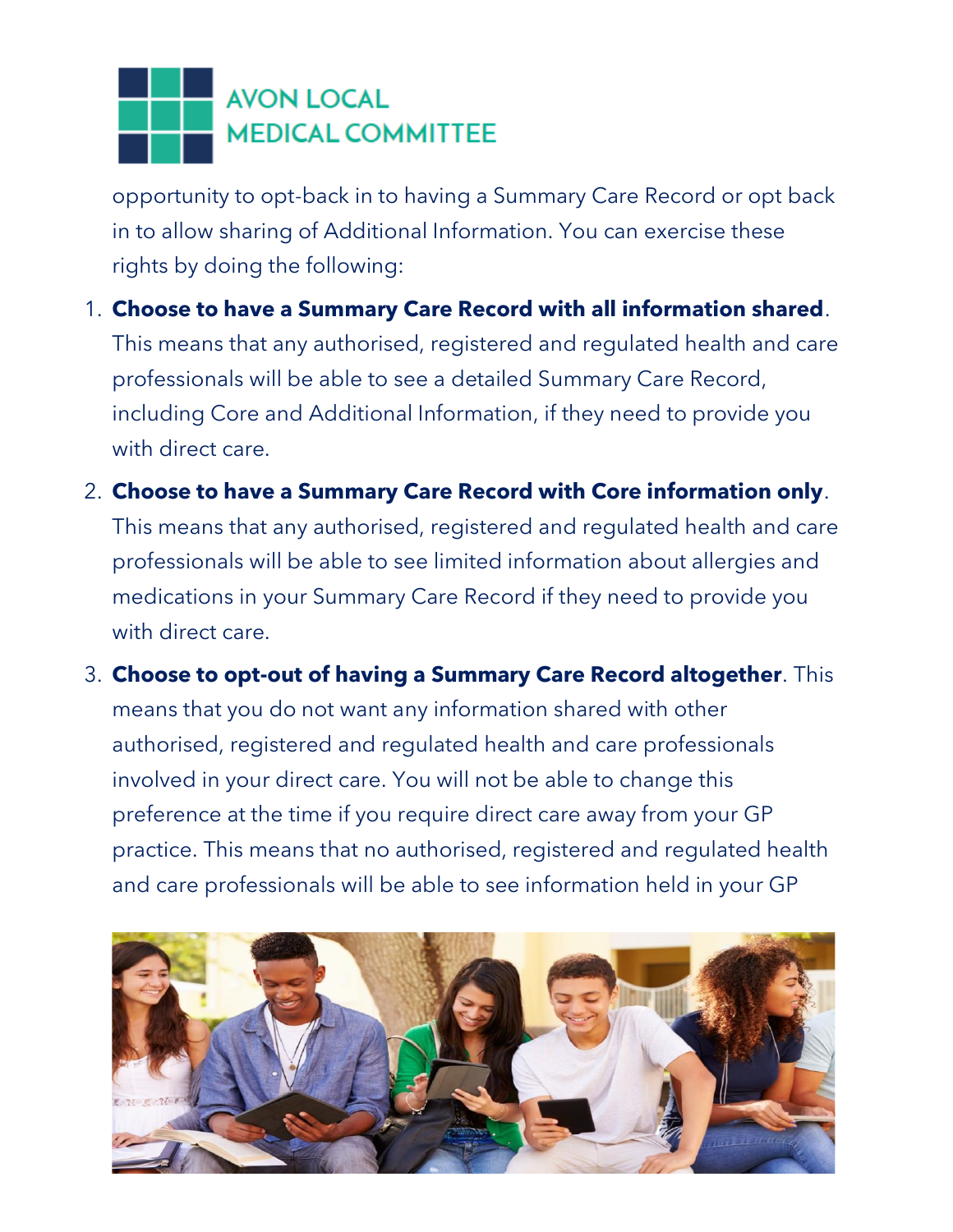opportunity to opt-back in to having a Summary Care Record or opt back in to allow sharing of Additional Information. You can exercise these rights by doing the following:

1. **Choose to have a Summary Care Record with all information shared**.

This means that any authorised, registered and regulated health and care professionals will be able to see a detailed Summary Care Record, including Core and Additional Information, if they need to provide you with direct care.

2. **Choose to have a Summary Care Record with Core information only**.

This means that any authorised, registered and regulated health and care professionals will be able to see limited information about allergies and medications in your Summary Care Record if they need to provide you with direct care.

3. **Choose to opt-out of having a Summary Care Record altogether**. This means that you do not want any information shared with other authorised, registered and regulated health and care professionals involved in your direct care. You will not be able to change this preference at the time if you require direct care away from your GP practice. This means that no authorised, registered and regulated health and care professionals will be able to see information held in your GP

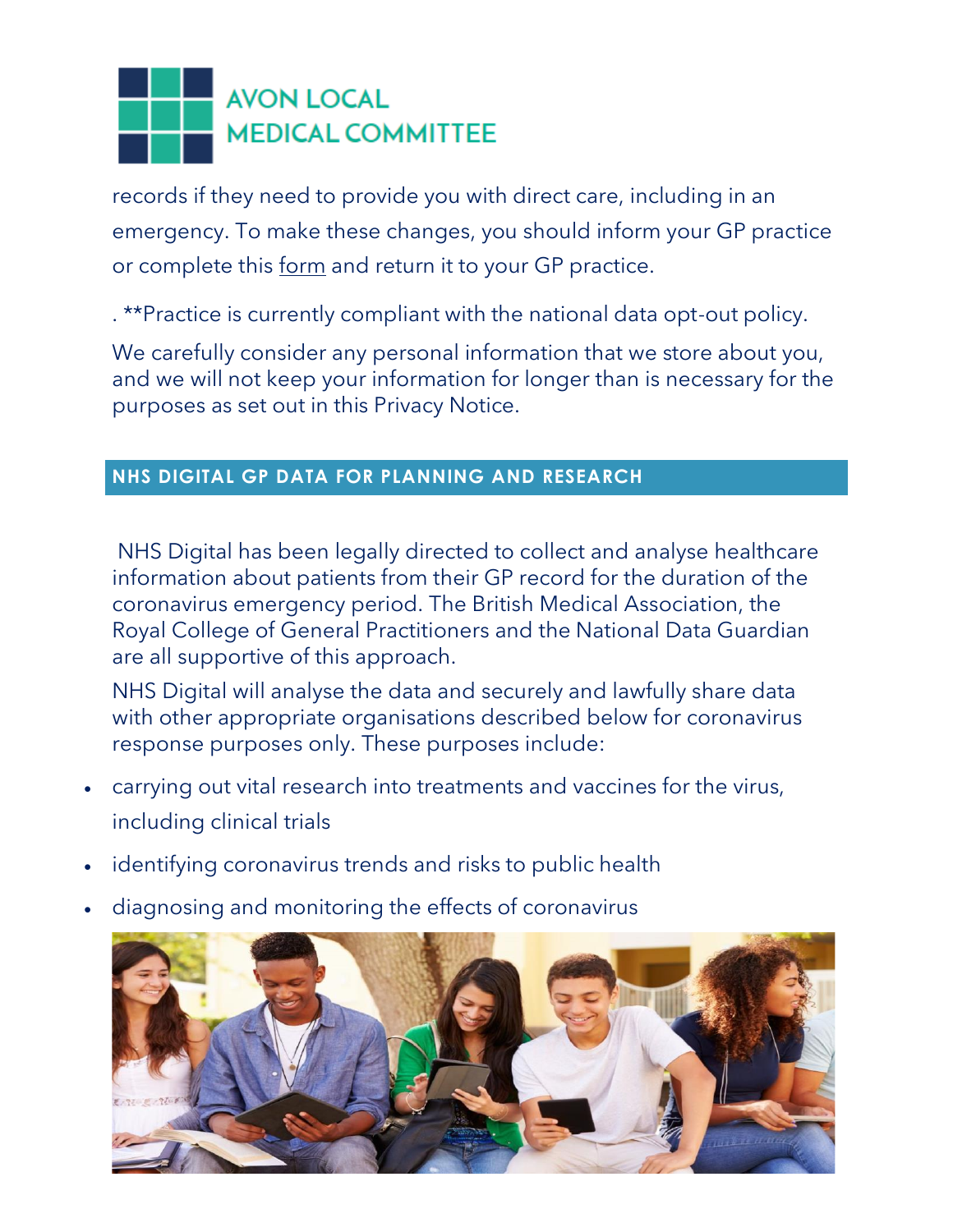records if they need to provide you with direct care, including in an emergency. To make these changes, you should inform your GP practice or complete this [form](https://digital.nhs.uk/services/summary-care-records-scr/scr-patient-consent-preference-form) and return it to your GP practice.

. \*\*Practice is currently compliant with the national data opt-out policy.

We carefully consider any personal information that we store about you, and we will not keep your information for longer than is necessary for the purposes as set out in this Privacy Notice.

#### **NHS DIGITAL GP DATA FOR PLANNING AND RESEARCH**

NHS Digital has been legally directed to collect and analyse healthcare information about patients from their GP record for the duration of the coronavirus emergency period. The British Medical Association, the Royal College of General Practitioners and the National Data Guardian are all supportive of this approach.

NHS Digital will analyse the data and securely and lawfully share data with other appropriate organisations described below for coronavirus response purposes only. These purposes include:

- carrying out vital research into treatments and vaccines for the virus, including clinical trials
- identifying coronavirus trends and risks to public health
- diagnosing and monitoring the effects of coronavirus

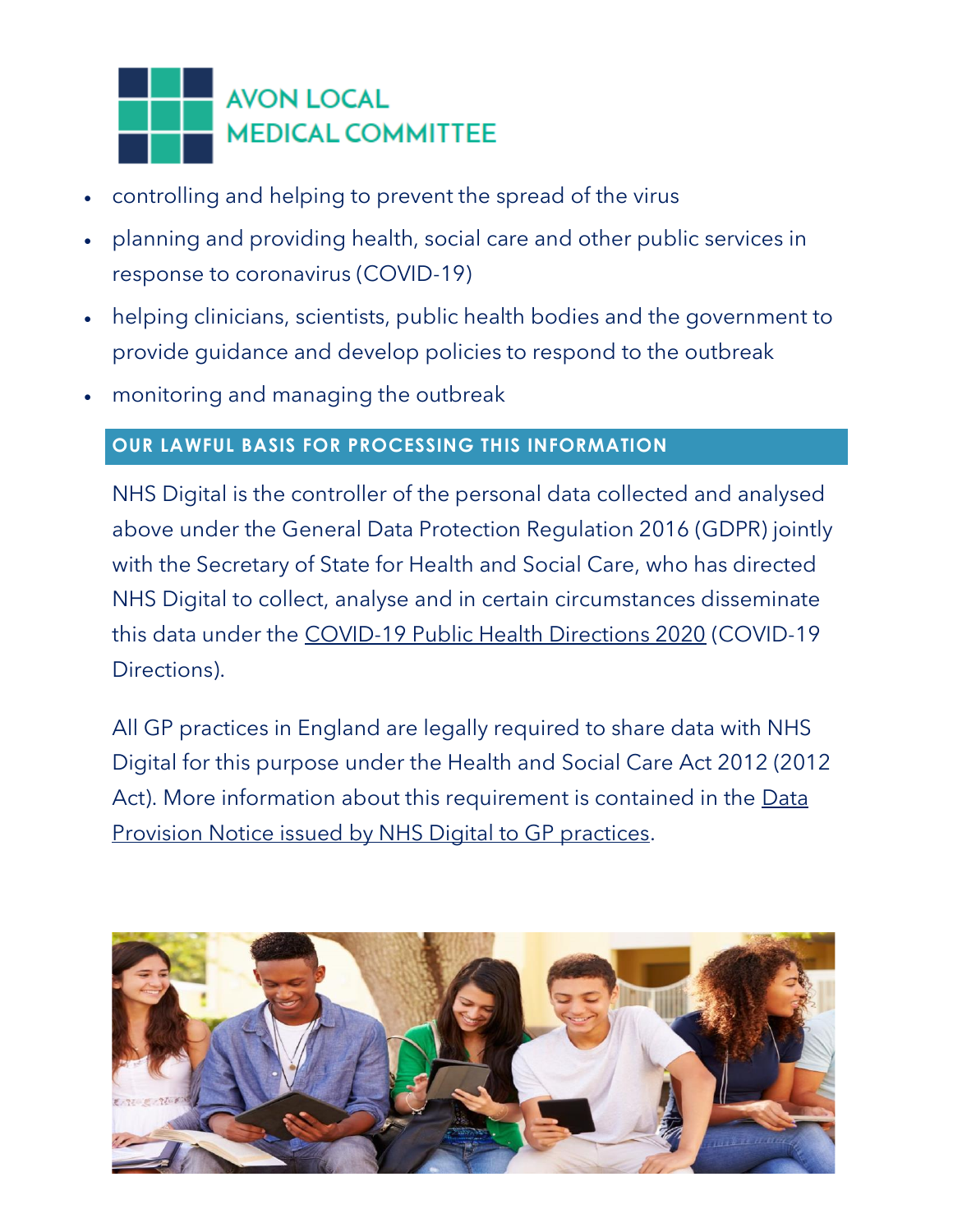

- controlling and helping to prevent the spread of the virus
- planning and providing health, social care and other public services in response to coronavirus (COVID-19)
- helping clinicians, scientists, public health bodies and the government to provide guidance and develop policies to respond to the outbreak
- monitoring and managing the outbreak

#### **OUR LAWFUL BASIS FOR PROCESSING THIS INFORMATION**

NHS Digital is the controller of the personal data collected and analysed above under the General Data Protection Regulation 2016 (GDPR) jointly with the Secretary of State for Health and Social Care, who has directed NHS Digital to collect, analyse and in certain circumstances disseminate this data under the [COVID-19 Public Health Directions 2020](https://digital.nhs.uk/about-nhs-digital/corporate-information-and-documents/directions-and-data-provision-notices/secretary-of-state-directions/covid-19-public-health-directions-2020) (COVID-19 Directions).

All GP practices in England are legally required to share data with NHS Digital for this purpose under the Health and Social Care Act 2012 (2012 Act). More information about this requirement is contained in the Data [Provision Notice issued by NHS Digital to GP practices.](https://digital.nhs.uk/about-nhs-digital/corporate-information-and-documents/directions-and-data-provision-notices/data-provision-notices-dpns/gpes-data-for-pandemic-planning-and-research)

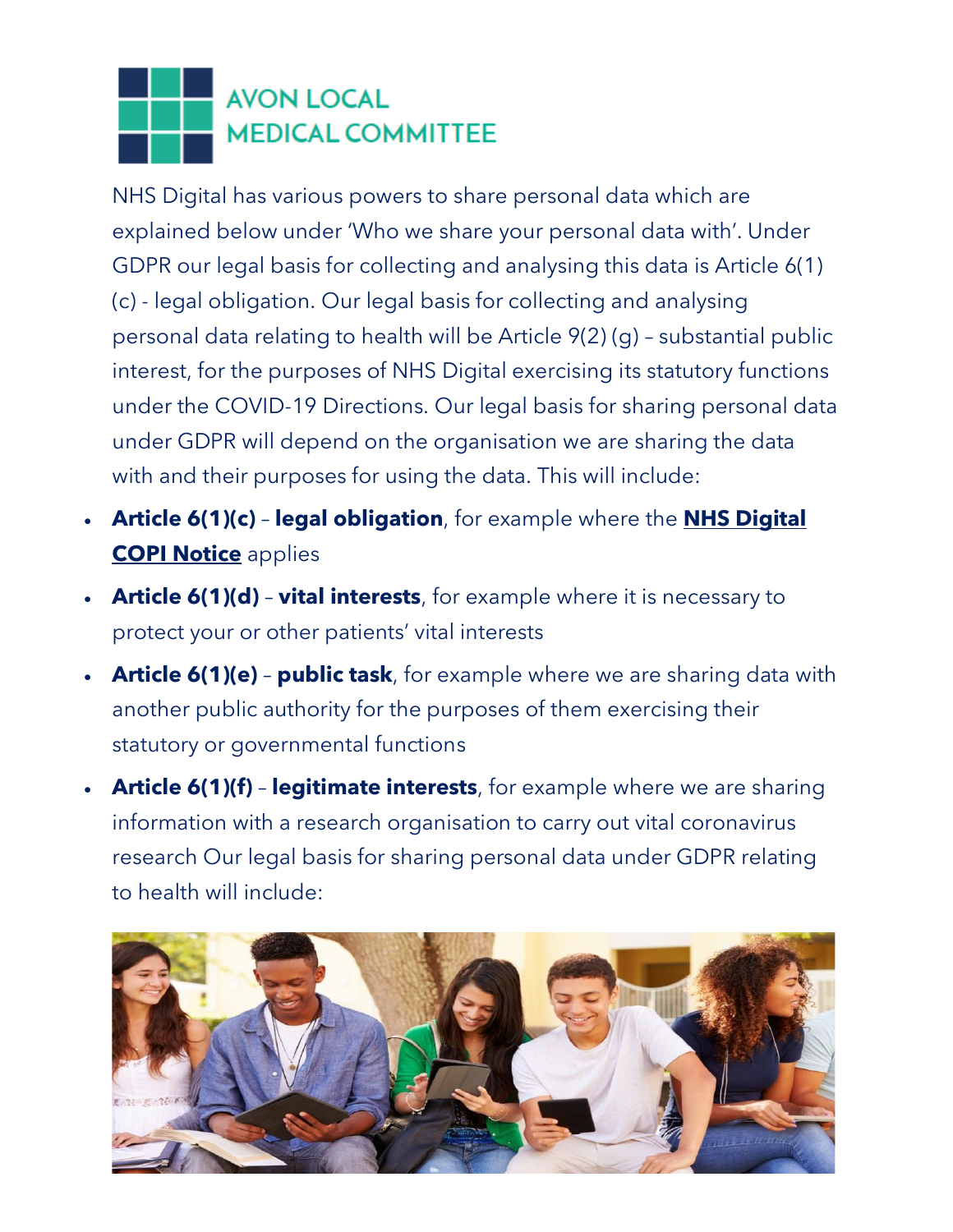NHS Digital has various powers to share personal data which are explained below under 'Who we share your personal data with'. Under GDPR our legal basis for collecting and analysing this data is Article 6(1) (c) - legal obligation. Our legal basis for collecting and analysing personal data relating to health will be Article 9(2) (g) – substantial public interest, for the purposes of NHS Digital exercising its statutory functions under the COVID-19 Directions. Our legal basis for sharing personal data under GDPR will depend on the organisation we are sharing the data with and their purposes for using the data. This will include:

- **Article 6(1)(c) legal obligation**, for example where the **[NHS Digital](https://digital.nhs.uk/coronavirus/coronavirus-covid-19-response-information-governance-hub/control-of-patient-information-copi-notice)  [COPI Notice](https://digital.nhs.uk/coronavirus/coronavirus-covid-19-response-information-governance-hub/control-of-patient-information-copi-notice)** applies
- **Article 6(1)(d) vital interests**, for example where it is necessary to protect your or other patients' vital interests
- **Article 6(1)(e) public task**, for example where we are sharing data with another public authority for the purposes of them exercising their statutory or governmental functions
- **Article 6(1)(f) legitimate interests**, for example where we are sharing information with a research organisation to carry out vital coronavirus research Our legal basis for sharing personal data under GDPR relating to health will include:

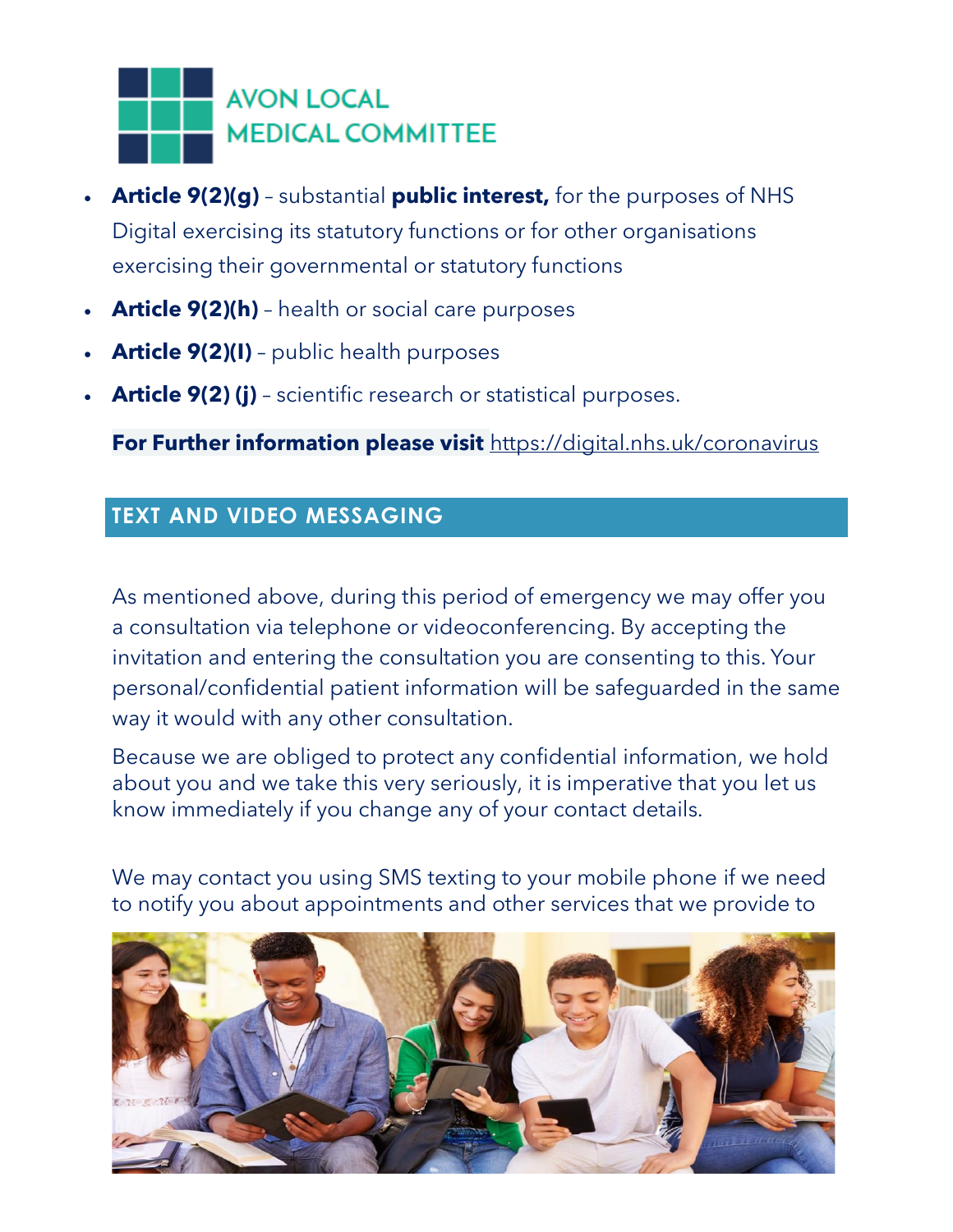

- **Article 9(2)(g)** substantial **public interest,** for the purposes of NHS Digital exercising its statutory functions or for other organisations exercising their governmental or statutory functions
- **Article 9(2)(h)** health or social care purposes
- **Article 9(2)(I)** public health purposes
- **Article 9(2) (j)** scientific research or statistical purposes.

**For Further information please visit** <https://digital.nhs.uk/coronavirus>

#### **TEXT AND VIDEO MESSAGING**

As mentioned above, during this period of emergency we may offer you a consultation via telephone or videoconferencing. By accepting the invitation and entering the consultation you are consenting to this. Your personal/confidential patient information will be safeguarded in the same way it would with any other consultation.

Because we are obliged to protect any confidential information, we hold about you and we take this very seriously, it is imperative that you let us know immediately if you change any of your contact details.

We may contact you using SMS texting to your mobile phone if we need to notify you about appointments and other services that we provide to